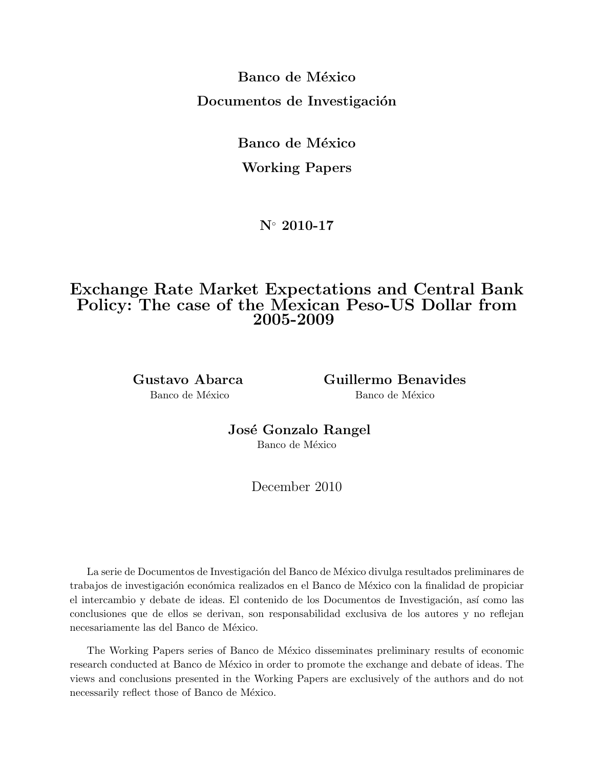Banco de México Documentos de Investigación

Banco de México

# Working Papers

N◦ 2010-17

# Exchange Rate Market Expectations and Central Bank Policy: The case of the Mexican Peso-US Dollar from 2005-2009

Gustavo Abarca Guillermo Benavides Banco de México Banco de México

José Gonzalo Rangel

Banco de México

December 2010

La serie de Documentos de Investigación del Banco de México divulga resultados preliminares de trabajos de investigación económica realizados en el Banco de México con la finalidad de propiciar el intercambio y debate de ideas. El contenido de los Documentos de Investigación, así como las conclusiones que de ellos se derivan, son responsabilidad exclusiva de los autores y no reflejan necesariamente las del Banco de México.

The Working Papers series of Banco de México disseminates preliminary results of economic research conducted at Banco de México in order to promote the exchange and debate of ideas. The views and conclusions presented in the Working Papers are exclusively of the authors and do not necessarily reflect those of Banco de México.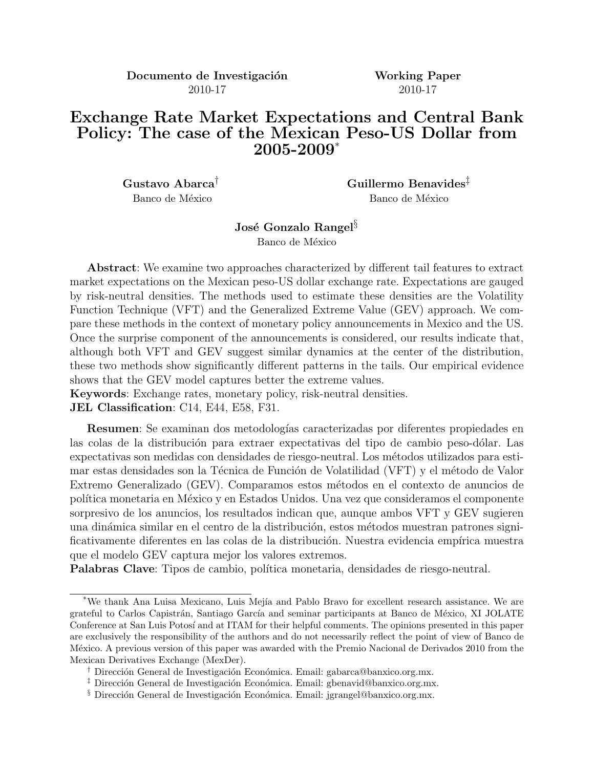Documento de Investigación Working Paper 2010-17 2010-17

# Exchange Rate Market Expectations and Central Bank Policy: The case of the Mexican Peso-US Dollar from 2005-2009\*

Gustavo Abarca<sup>†</sup> Guillermo Benavides<sup>‡</sup> Banco de México Banco de México

José Gonzalo Rangel<sup>§</sup>

Banco de México

Abstract: We examine two approaches characterized by different tail features to extract market expectations on the Mexican peso-US dollar exchange rate. Expectations are gauged by risk-neutral densities. The methods used to estimate these densities are the Volatility Function Technique (VFT) and the Generalized Extreme Value (GEV) approach. We compare these methods in the context of monetary policy announcements in Mexico and the US. Once the surprise component of the announcements is considered, our results indicate that, although both VFT and GEV suggest similar dynamics at the center of the distribution, these two methods show significantly different patterns in the tails. Our empirical evidence shows that the GEV model captures better the extreme values.

Keywords: Exchange rates, monetary policy, risk-neutral densities. JEL Classification: C14, E44, E58, F31.

**Resumen**: Se examinan dos metodologías caracterizadas por diferentes propiedades en las colas de la distribución para extraer expectativas del tipo de cambio peso-dólar. Las expectativas son medidas con densidades de riesgo-neutral. Los m´etodos utilizados para estimar estas densidades son la Técnica de Función de Volatilidad (VFT) y el método de Valor Extremo Generalizado (GEV). Comparamos estos métodos en el contexto de anuncios de política monetaria en México y en Estados Unidos. Una vez que consideramos el componente sorpresivo de los anuncios, los resultados indican que, aunque ambos VFT y GEV sugieren una dinámica similar en el centro de la distribución, estos métodos muestran patrones significativamente diferentes en las colas de la distribución. Nuestra evidencia empírica muestra que el modelo GEV captura mejor los valores extremos.

Palabras Clave: Tipos de cambio, política monetaria, densidades de riesgo-neutral.

<sup>\*</sup>We thank Ana Luisa Mexicano, Luis Mej´ıa and Pablo Bravo for excellent research assistance. We are grateful to Carlos Capistrán, Santiago García and seminar participants at Banco de México, XI JOLATE Conference at San Luis Potosí and at ITAM for their helpful comments. The opinions presented in this paper are exclusively the responsibility of the authors and do not necessarily reflect the point of view of Banco de México. A previous version of this paper was awarded with the Premio Nacional de Derivados 2010 from the Mexican Derivatives Exchange (MexDer).

<sup>&</sup>lt;sup>†</sup> Dirección General de Investigación Económica. Email: gabarca@banxico.org.mx.

<sup>&</sup>lt;sup>‡</sup> Dirección General de Investigación Económica. Email: gbenavid@banxico.org.mx.

 $\frac{1}{3}$  Dirección General de Investigación Económica. Email: jgrangel@banxico.org.mx.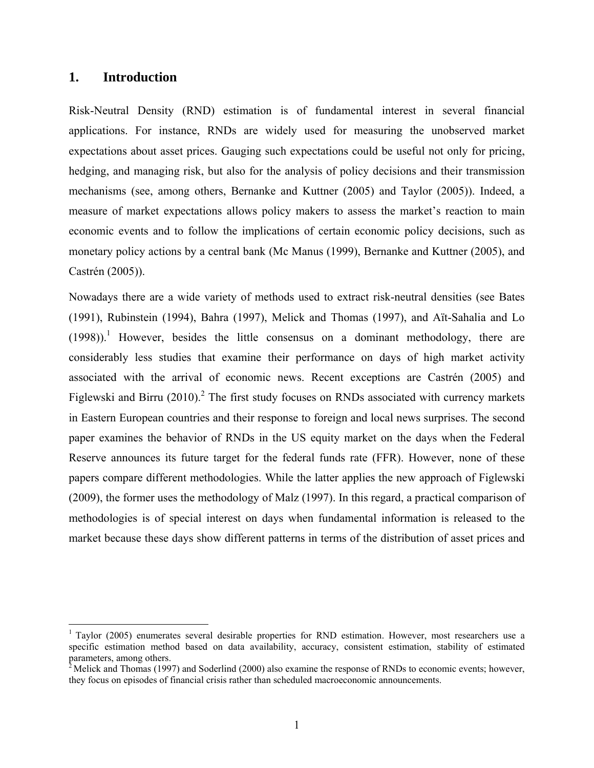## **1. Introduction**

Risk-Neutral Density (RND) estimation is of fundamental interest in several financial applications. For instance, RNDs are widely used for measuring the unobserved market expectations about asset prices. Gauging such expectations could be useful not only for pricing, hedging, and managing risk, but also for the analysis of policy decisions and their transmission mechanisms (see, among others, Bernanke and Kuttner (2005) and Taylor (2005)). Indeed, a measure of market expectations allows policy makers to assess the market's reaction to main economic events and to follow the implications of certain economic policy decisions, such as monetary policy actions by a central bank (Mc Manus (1999), Bernanke and Kuttner (2005), and Castrén (2005)).

Nowadays there are a wide variety of methods used to extract risk-neutral densities (see Bates (1991), Rubinstein (1994), Bahra (1997), Melick and Thomas (1997), and Aït-Sahalia and Lo  $(1998)$ .<sup>1</sup> However, besides the little consensus on a dominant methodology, there are considerably less studies that examine their performance on days of high market activity associated with the arrival of economic news. Recent exceptions are Castrén (2005) and Figlewski and Birru (2010).<sup>2</sup> The first study focuses on RNDs associated with currency markets in Eastern European countries and their response to foreign and local news surprises. The second paper examines the behavior of RNDs in the US equity market on the days when the Federal Reserve announces its future target for the federal funds rate (FFR). However, none of these papers compare different methodologies. While the latter applies the new approach of Figlewski (2009), the former uses the methodology of Malz (1997). In this regard, a practical comparison of methodologies is of special interest on days when fundamental information is released to the market because these days show different patterns in terms of the distribution of asset prices and

 $1$  Taylor (2005) enumerates several desirable properties for RND estimation. However, most researchers use a specific estimation method based on data availability, accuracy, consistent estimation, stability of estimated parameters, among others.

<sup>&</sup>lt;sup>2</sup> Melick and Thomas (1997) and Soderlind (2000) also examine the response of RNDs to economic events; however, they focus on episodes of financial crisis rather than scheduled macroeconomic announcements.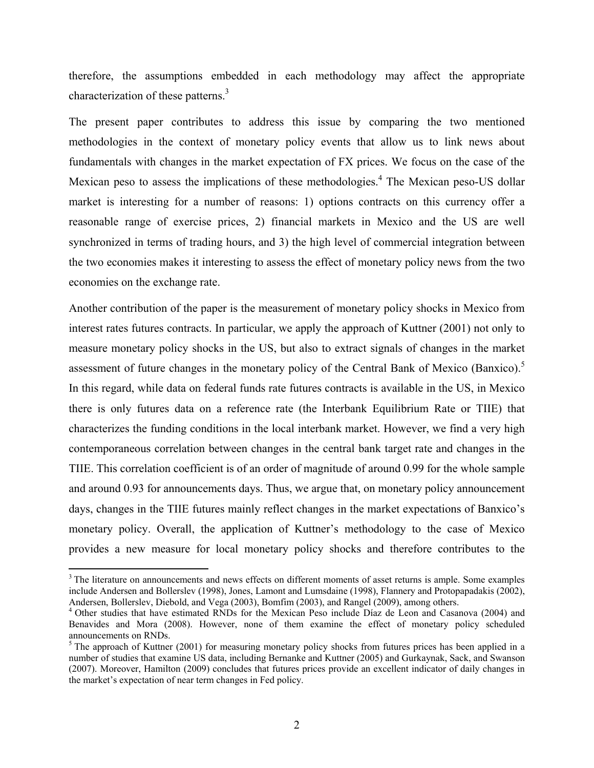therefore, the assumptions embedded in each methodology may affect the appropriate characterization of these patterns.<sup>3</sup>

The present paper contributes to address this issue by comparing the two mentioned methodologies in the context of monetary policy events that allow us to link news about fundamentals with changes in the market expectation of FX prices. We focus on the case of the Mexican peso to assess the implications of these methodologies.<sup>4</sup> The Mexican peso-US dollar market is interesting for a number of reasons: 1) options contracts on this currency offer a reasonable range of exercise prices, 2) financial markets in Mexico and the US are well synchronized in terms of trading hours, and 3) the high level of commercial integration between the two economies makes it interesting to assess the effect of monetary policy news from the two economies on the exchange rate.

Another contribution of the paper is the measurement of monetary policy shocks in Mexico from interest rates futures contracts. In particular, we apply the approach of Kuttner (2001) not only to measure monetary policy shocks in the US, but also to extract signals of changes in the market assessment of future changes in the monetary policy of the Central Bank of Mexico (Banxico).<sup>5</sup> In this regard, while data on federal funds rate futures contracts is available in the US, in Mexico there is only futures data on a reference rate (the Interbank Equilibrium Rate or TIIE) that characterizes the funding conditions in the local interbank market. However, we find a very high contemporaneous correlation between changes in the central bank target rate and changes in the TIIE. This correlation coefficient is of an order of magnitude of around 0.99 for the whole sample and around 0.93 for announcements days. Thus, we argue that, on monetary policy announcement days, changes in the TIIE futures mainly reflect changes in the market expectations of Banxico's monetary policy. Overall, the application of Kuttner's methodology to the case of Mexico provides a new measure for local monetary policy shocks and therefore contributes to the

<sup>&</sup>lt;sup>3</sup> The literature on announcements and news effects on different moments of asset returns is ample. Some examples include Andersen and Bollerslev (1998), Jones, Lamont and Lumsdaine (1998), Flannery and Protopapadakis (2002), Andersen, Bollerslev, Diebold, and Vega (2003), Bomfim (2003), and Rangel (2009), among others.

<sup>&</sup>lt;sup>4</sup> Other studies that have estimated RNDs for the Mexican Peso include Díaz de Leon and Casanova (2004) and Benavides and Mora (2008). However, none of them examine the effect of monetary policy scheduled announcements on RNDs.

 $<sup>5</sup>$  The approach of Kuttner (2001) for measuring monetary policy shocks from futures prices has been applied in a</sup> number of studies that examine US data, including Bernanke and Kuttner (2005) and Gurkaynak, Sack, and Swanson (2007). Moreover, Hamilton (2009) concludes that futures prices provide an excellent indicator of daily changes in the market's expectation of near term changes in Fed policy.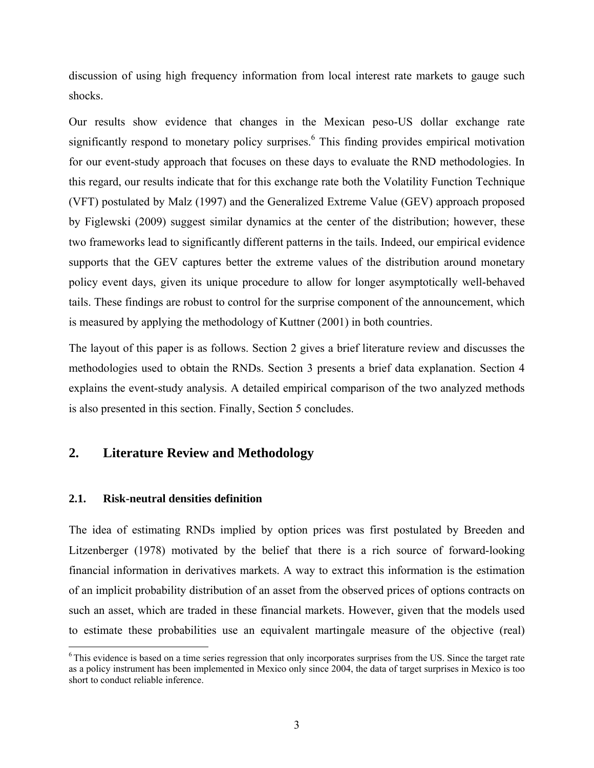discussion of using high frequency information from local interest rate markets to gauge such shocks.

Our results show evidence that changes in the Mexican peso-US dollar exchange rate significantly respond to monetary policy surprises.<sup>6</sup> This finding provides empirical motivation for our event-study approach that focuses on these days to evaluate the RND methodologies. In this regard, our results indicate that for this exchange rate both the Volatility Function Technique (VFT) postulated by Malz (1997) and the Generalized Extreme Value (GEV) approach proposed by Figlewski (2009) suggest similar dynamics at the center of the distribution; however, these two frameworks lead to significantly different patterns in the tails. Indeed, our empirical evidence supports that the GEV captures better the extreme values of the distribution around monetary policy event days, given its unique procedure to allow for longer asymptotically well-behaved tails. These findings are robust to control for the surprise component of the announcement, which is measured by applying the methodology of Kuttner (2001) in both countries.

The layout of this paper is as follows. Section 2 gives a brief literature review and discusses the methodologies used to obtain the RNDs. Section 3 presents a brief data explanation. Section 4 explains the event-study analysis. A detailed empirical comparison of the two analyzed methods is also presented in this section. Finally, Section 5 concludes.

## **2. Literature Review and Methodology**

## **2.1. Risk-neutral densities definition**

The idea of estimating RNDs implied by option prices was first postulated by Breeden and Litzenberger (1978) motivated by the belief that there is a rich source of forward-looking financial information in derivatives markets. A way to extract this information is the estimation of an implicit probability distribution of an asset from the observed prices of options contracts on such an asset, which are traded in these financial markets. However, given that the models used to estimate these probabilities use an equivalent martingale measure of the objective (real)

 $6$ This evidence is based on a time series regression that only incorporates surprises from the US. Since the target rate as a policy instrument has been implemented in Mexico only since 2004, the data of target surprises in Mexico is too short to conduct reliable inference.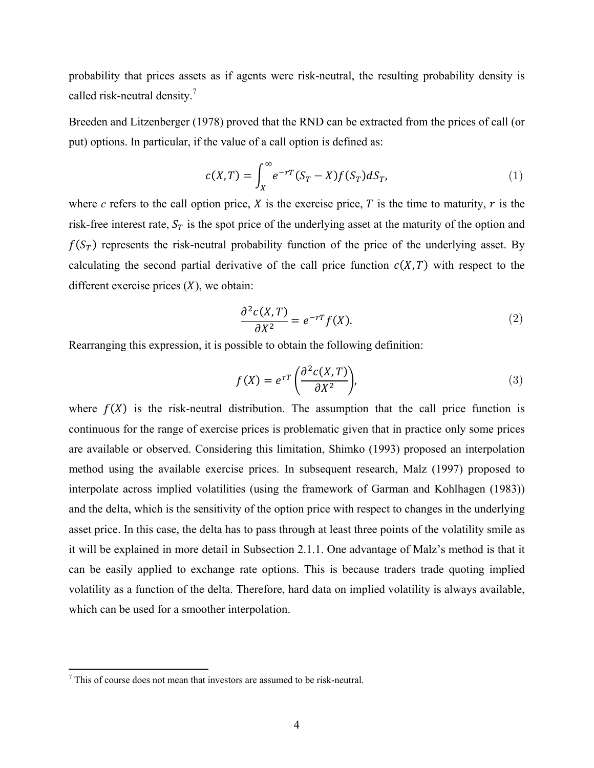probability that prices assets as if agents were risk-neutral, the resulting probability density is called risk-neutral density.7

Breeden and Litzenberger (1978) proved that the RND can be extracted from the prices of call (or put) options. In particular, if the value of a call option is defined as:

$$
c(X,T) = \int_X^{\infty} e^{-rT} (S_T - X) f(S_T) dS_T,
$$
\n(1)

where *c* refers to the call option price,  $X$  is the exercise price,  $T$  is the time to maturity,  $r$  is the risk-free interest rate,  $S_T$  is the spot price of the underlying asset at the maturity of the option and  $f(S_T)$  represents the risk-neutral probability function of the price of the underlying asset. By calculating the second partial derivative of the call price function  $c(X, T)$  with respect to the different exercise prices  $(X)$ , we obtain:

$$
\frac{\partial^2 c(X,T)}{\partial X^2} = e^{-rT} f(X). \tag{2}
$$

Rearranging this expression, it is possible to obtain the following definition:

$$
f(X) = e^{rT} \left( \frac{\partial^2 c(X, T)}{\partial X^2} \right),\tag{3}
$$

where  $f(X)$  is the risk-neutral distribution. The assumption that the call price function is continuous for the range of exercise prices is problematic given that in practice only some prices are available or observed. Considering this limitation, Shimko (1993) proposed an interpolation method using the available exercise prices. In subsequent research, Malz (1997) proposed to interpolate across implied volatilities (using the framework of Garman and Kohlhagen (1983)) and the delta, which is the sensitivity of the option price with respect to changes in the underlying asset price. In this case, the delta has to pass through at least three points of the volatility smile as it will be explained in more detail in Subsection 2.1.1. One advantage of Malz's method is that it can be easily applied to exchange rate options. This is because traders trade quoting implied volatility as a function of the delta. Therefore, hard data on implied volatility is always available, which can be used for a smoother interpolation.

 7 This of course does not mean that investors are assumed to be risk-neutral.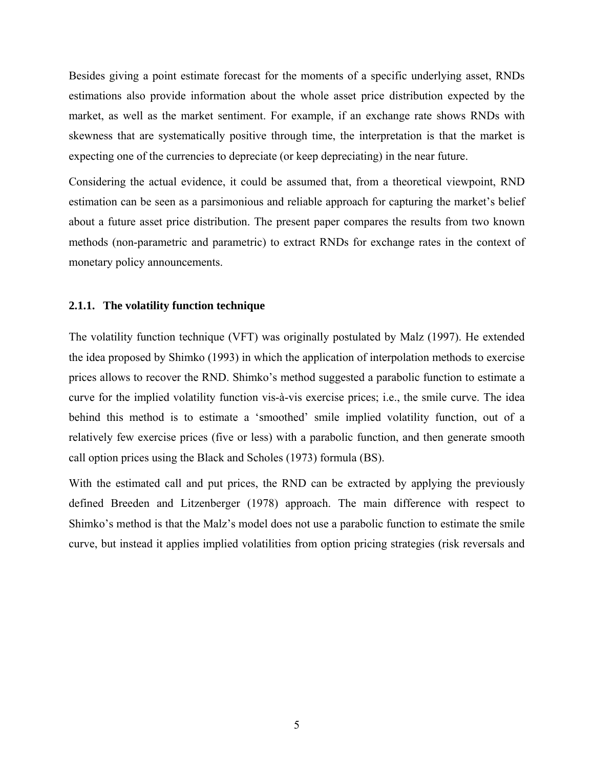Besides giving a point estimate forecast for the moments of a specific underlying asset, RNDs estimations also provide information about the whole asset price distribution expected by the market, as well as the market sentiment. For example, if an exchange rate shows RNDs with skewness that are systematically positive through time, the interpretation is that the market is expecting one of the currencies to depreciate (or keep depreciating) in the near future.

Considering the actual evidence, it could be assumed that, from a theoretical viewpoint, RND estimation can be seen as a parsimonious and reliable approach for capturing the market's belief about a future asset price distribution. The present paper compares the results from two known methods (non-parametric and parametric) to extract RNDs for exchange rates in the context of monetary policy announcements.

## **2.1.1. The volatility function technique**

The volatility function technique (VFT) was originally postulated by Malz (1997). He extended the idea proposed by Shimko (1993) in which the application of interpolation methods to exercise prices allows to recover the RND. Shimko's method suggested a parabolic function to estimate a curve for the implied volatility function vis-à-vis exercise prices; i.e., the smile curve. The idea behind this method is to estimate a 'smoothed' smile implied volatility function, out of a relatively few exercise prices (five or less) with a parabolic function, and then generate smooth call option prices using the Black and Scholes (1973) formula (BS).

With the estimated call and put prices, the RND can be extracted by applying the previously defined Breeden and Litzenberger (1978) approach. The main difference with respect to Shimko's method is that the Malz's model does not use a parabolic function to estimate the smile curve, but instead it applies implied volatilities from option pricing strategies (risk reversals and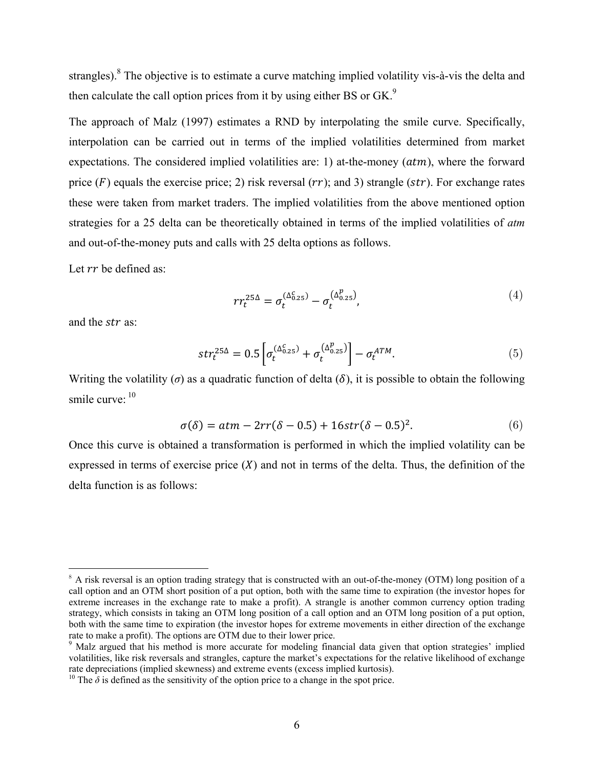strangles). <sup>8</sup> The objective is to estimate a curve matching implied volatility vis-à-vis the delta and then calculate the call option prices from it by using either BS or GK.<sup>9</sup>

The approach of Malz (1997) estimates a RND by interpolating the smile curve. Specifically, interpolation can be carried out in terms of the implied volatilities determined from market expectations. The considered implied volatilities are: 1) at-the-money  $(atm)$ , where the forward price ( $F$ ) equals the exercise price; 2) risk reversal ( $rr$ ); and 3) strangle ( $str$ ). For exchange rates these were taken from market traders. The implied volatilities from the above mentioned option strategies for a 25 delta can be theoretically obtained in terms of the implied volatilities of *atm* and out-of-the-money puts and calls with 25 delta options as follows.

Let  $rr$  be defined as:

$$
rr_t^{25\Delta} = \sigma_t^{(\Delta_{0.25}^c)} - \sigma_t^{(\Delta_{0.25}^p)},
$$
\n
$$
\tag{4}
$$

and the *str* as:

$$
str_t^{25\Delta} = 0.5 \left[ \sigma_t^{(\Delta_{0.25}^c)} + \sigma_t^{(\Delta_{0.25}^p)} \right] - \sigma_t^{ATM}.
$$
\n
$$
\tag{5}
$$

Writing the volatility ( $\sigma$ ) as a quadratic function of delta ( $\delta$ ), it is possible to obtain the following smile curve:  $10$ 

$$
\sigma(\delta) = atm - 2rr(\delta - 0.5) + 16str(\delta - 0.5)^2.
$$
\n
$$
(6)
$$

Once this curve is obtained a transformation is performed in which the implied volatility can be expressed in terms of exercise price  $(X)$  and not in terms of the delta. Thus, the definition of the delta function is as follows:

 $8$  A risk reversal is an option trading strategy that is constructed with an out-of-the-money (OTM) long position of a call option and an OTM short position of a put option, both with the same time to expiration (the investor hopes for extreme increases in the exchange rate to make a profit). A strangle is another common currency option trading strategy, which consists in taking an OTM long position of a call option and an OTM long position of a put option, both with the same time to expiration (the investor hopes for extreme movements in either direction of the exchange rate to make a profit). The options are OTM due to their lower price.

<sup>&</sup>lt;sup>9</sup> Malz argued that his method is more accurate for modeling financial data given that option strategies' implied volatilities, like risk reversals and strangles, capture the market's expectations for the relative likelihood of exchange rate depreciations (implied skewness) and extreme events (excess implied kurtosis).

<sup>&</sup>lt;sup>10</sup> The  $\delta$  is defined as the sensitivity of the option price to a change in the spot price.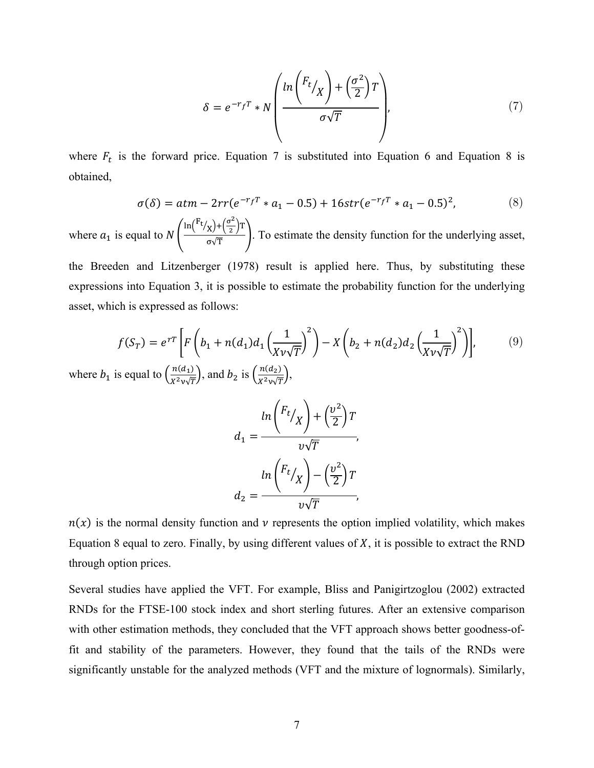$$
\delta = e^{-r_f T} * N \left( \frac{\ln \left( \frac{F_t}{X} \right) + \left( \frac{\sigma^2}{2} \right) T}{\sigma \sqrt{T}} \right), \tag{7}
$$

where  $F_t$  is the forward price. Equation 7 is substituted into Equation 6 and Equation 8 is obtained,

$$
\sigma(\delta) = atm - 2rr(e^{-r_f T} * a_1 - 0.5) + 16str(e^{-r_f T} * a_1 - 0.5)^2,
$$
\n(8)

where  $a_1$  is equal to N  $\frac{\ln(\frac{F_t}{x}) + (\frac{\sigma^2}{2})T}{\sigma\sqrt{T}}$ . To estimate the density function for the underlying asset,

the Breeden and Litzenberger (1978) result is applied here. Thus, by substituting these expressions into Equation 3, it is possible to estimate the probability function for the underlying asset, which is expressed as follows:

$$
f(S_T) = e^{rT} \left[ F \left( b_1 + n(d_1) d_1 \left( \frac{1}{X v \sqrt{T}} \right)^2 \right) - X \left( b_2 + n(d_2) d_2 \left( \frac{1}{X v \sqrt{T}} \right)^2 \right) \right],
$$
(9)

where  $b_1$  is equal to  $\left(\frac{n(d_1)}{X^2 \nu \sqrt{T}}\right)$ , and  $b_2$  is  $\left(\frac{n(d_2)}{X^2 \nu \sqrt{T}}\right)$ ,

$$
d_1 = \frac{\ln\left(\frac{F_t}{X}\right) + \left(\frac{v^2}{2}\right)T}{v\sqrt{T}},
$$

$$
d_2 = \frac{\ln\left(\frac{F_t}{X}\right) - \left(\frac{v^2}{2}\right)T}{v\sqrt{T}},
$$

 $n(x)$  is the normal density function and v represents the option implied volatility, which makes Equation 8 equal to zero. Finally, by using different values of  $X$ , it is possible to extract the RND through option prices.

Several studies have applied the VFT. For example, Bliss and Panigirtzoglou (2002) extracted RNDs for the FTSE-100 stock index and short sterling futures. After an extensive comparison with other estimation methods, they concluded that the VFT approach shows better goodness-offit and stability of the parameters. However, they found that the tails of the RNDs were significantly unstable for the analyzed methods (VFT and the mixture of lognormals). Similarly,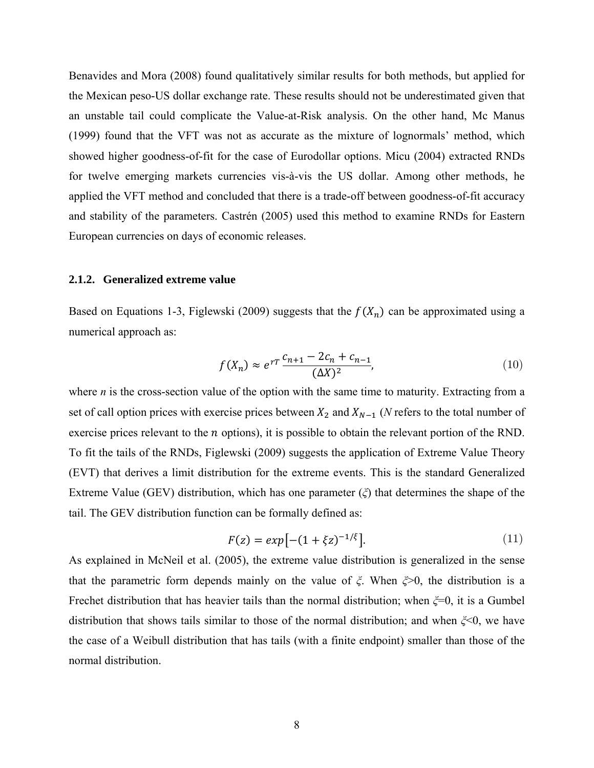Benavides and Mora (2008) found qualitatively similar results for both methods, but applied for the Mexican peso-US dollar exchange rate. These results should not be underestimated given that an unstable tail could complicate the Value-at-Risk analysis. On the other hand, Mc Manus (1999) found that the VFT was not as accurate as the mixture of lognormals' method, which showed higher goodness-of-fit for the case of Eurodollar options. Micu (2004) extracted RNDs for twelve emerging markets currencies vis-à-vis the US dollar. Among other methods, he applied the VFT method and concluded that there is a trade-off between goodness-of-fit accuracy and stability of the parameters. Castrén (2005) used this method to examine RNDs for Eastern European currencies on days of economic releases.

#### **2.1.2. Generalized extreme value**

Based on Equations 1-3, Figlewski (2009) suggests that the  $f(X_n)$  can be approximated using a numerical approach as:

$$
f(X_n) \approx e^{rT} \frac{c_{n+1} - 2c_n + c_{n-1}}{(\Delta X)^2},\tag{10}
$$

where *n* is the cross-section value of the option with the same time to maturity. Extracting from a set of call option prices with exercise prices between  $X_2$  and  $X_{N-1}$  (*N* refers to the total number of exercise prices relevant to the  $n$  options), it is possible to obtain the relevant portion of the RND. To fit the tails of the RNDs, Figlewski (2009) suggests the application of Extreme Value Theory (EVT) that derives a limit distribution for the extreme events. This is the standard Generalized Extreme Value (GEV) distribution, which has one parameter (*ξ*) that determines the shape of the tail. The GEV distribution function can be formally defined as:

$$
F(z) = exp[-(1 + \xi z)^{-1/\xi}].
$$
\n(11)

As explained in McNeil et al. (2005), the extreme value distribution is generalized in the sense that the parametric form depends mainly on the value of *ξ*. When *ξ*>0, the distribution is a Frechet distribution that has heavier tails than the normal distribution; when *ξ*=0, it is a Gumbel distribution that shows tails similar to those of the normal distribution; and when *ξ*<0, we have the case of a Weibull distribution that has tails (with a finite endpoint) smaller than those of the normal distribution.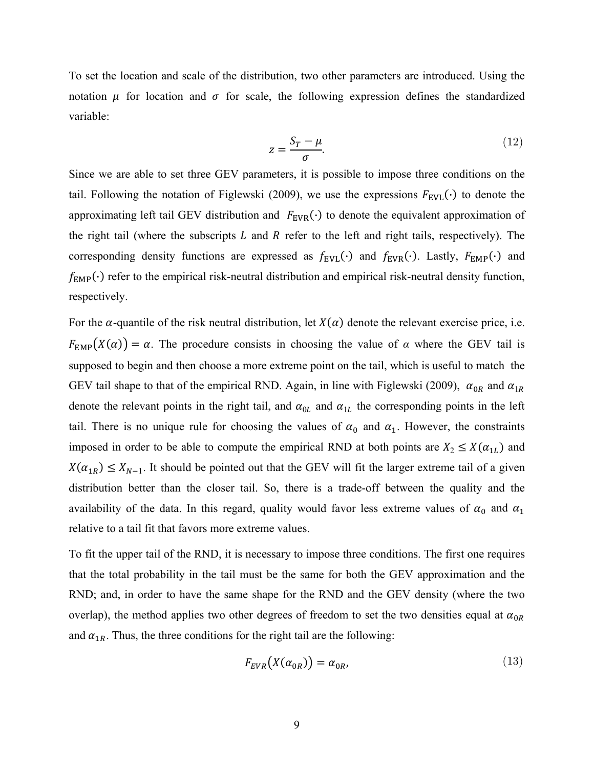To set the location and scale of the distribution, two other parameters are introduced. Using the notation  $\mu$  for location and  $\sigma$  for scale, the following expression defines the standardized variable:

$$
z = \frac{S_T - \mu}{\sigma}.\tag{12}
$$

Since we are able to set three GEV parameters, it is possible to impose three conditions on the tail. Following the notation of Figlewski (2009), we use the expressions  $F_{\text{EVL}}(\cdot)$  to denote the approximating left tail GEV distribution and  $F_{EVR}(\cdot)$  to denote the equivalent approximation of the right tail (where the subscripts  $L$  and  $R$  refer to the left and right tails, respectively). The corresponding density functions are expressed as  $f_{EVL}(\cdot)$  and  $f_{EVR}(\cdot)$ . Lastly,  $F_{EMP}(\cdot)$  and  $f_{\text{EMP}}(\cdot)$  refer to the empirical risk-neutral distribution and empirical risk-neutral density function, respectively.

For the  $\alpha$ -quantile of the risk neutral distribution, let  $X(\alpha)$  denote the relevant exercise price, i.e.  $F_{\text{EMP}}(X(\alpha)) = \alpha$ . The procedure consists in choosing the value of  $\alpha$  where the GEV tail is supposed to begin and then choose a more extreme point on the tail, which is useful to match the GEV tail shape to that of the empirical RND. Again, in line with Figlewski (2009),  $\alpha_{0R}$  and  $\alpha_{1R}$ denote the relevant points in the right tail, and  $\alpha_{0L}$  and  $\alpha_{1L}$  the corresponding points in the left tail. There is no unique rule for choosing the values of  $\alpha_0$  and  $\alpha_1$ . However, the constraints imposed in order to be able to compute the empirical RND at both points are  $X_2 \le X(\alpha_{1L})$  and  $X(\alpha_{1R}) \le X_{N-1}$ . It should be pointed out that the GEV will fit the larger extreme tail of a given distribution better than the closer tail. So, there is a trade-off between the quality and the availability of the data. In this regard, quality would favor less extreme values of  $\alpha_0$  and  $\alpha_1$ relative to a tail fit that favors more extreme values.

To fit the upper tail of the RND, it is necessary to impose three conditions. The first one requires that the total probability in the tail must be the same for both the GEV approximation and the RND; and, in order to have the same shape for the RND and the GEV density (where the two overlap), the method applies two other degrees of freedom to set the two densities equal at  $\alpha_{0R}$ and  $\alpha_{1R}$ . Thus, the three conditions for the right tail are the following:

$$
F_{EVR}(X(\alpha_{0R})) = \alpha_{0R},\tag{13}
$$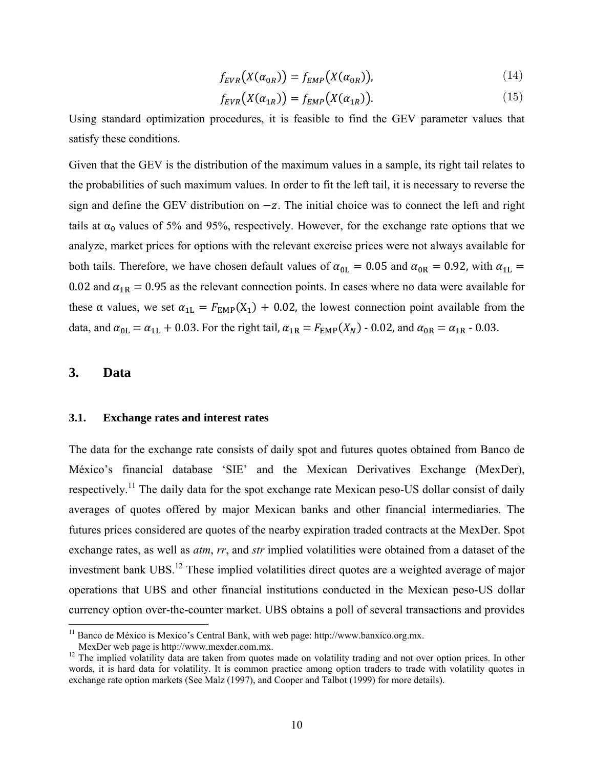$$
f_{EVR}(X(\alpha_{0R})) = f_{EMP}(X(\alpha_{0R})),
$$
\n(14)

$$
f_{EVR}(X(\alpha_{1R})) = f_{EMP}(X(\alpha_{1R})).
$$
\n(15)

Using standard optimization procedures, it is feasible to find the GEV parameter values that satisfy these conditions.

Given that the GEV is the distribution of the maximum values in a sample, its right tail relates to the probabilities of such maximum values. In order to fit the left tail, it is necessary to reverse the sign and define the GEV distribution on  $-z$ . The initial choice was to connect the left and right tails at  $\alpha_0$  values of 5% and 95%, respectively. However, for the exchange rate options that we analyze, market prices for options with the relevant exercise prices were not always available for both tails. Therefore, we have chosen default values of  $\alpha_{0L} = 0.05$  and  $\alpha_{0R} = 0.92$ , with  $\alpha_{1L} =$ 0.02 and  $\alpha_{1R} = 0.95$  as the relevant connection points. In cases where no data were available for these  $\alpha$  values, we set  $\alpha_{1L} = F_{EMP}(X_1) + 0.02$ , the lowest connection point available from the data, and  $\alpha_{0L} = \alpha_{1L} + 0.03$ . For the right tail,  $\alpha_{1R} = F_{EMP}(X_N)$  - 0.02, and  $\alpha_{0R} = \alpha_{1R}$  - 0.03.

## **3. Data**

### **3.1. Exchange rates and interest rates**

The data for the exchange rate consists of daily spot and futures quotes obtained from Banco de México's financial database 'SIE' and the Mexican Derivatives Exchange (MexDer), respectively.<sup>11</sup> The daily data for the spot exchange rate Mexican peso-US dollar consist of daily averages of quotes offered by major Mexican banks and other financial intermediaries. The futures prices considered are quotes of the nearby expiration traded contracts at the MexDer. Spot exchange rates, as well as *atm*, *rr*, and *str* implied volatilities were obtained from a dataset of the investment bank UBS.<sup>12</sup> These implied volatilities direct quotes are a weighted average of major operations that UBS and other financial institutions conducted in the Mexican peso-US dollar currency option over-the-counter market. UBS obtains a poll of several transactions and provides

 $11$  Banco de México is Mexico's Central Bank, with web page: http://www.banxico.org.mx.

MexDer web page is http://www.mexder.com.mx.

<sup>&</sup>lt;sup>12</sup> The implied volatility data are taken from quotes made on volatility trading and not over option prices. In other words, it is hard data for volatility. It is common practice among option traders to trade with volatility quotes in exchange rate option markets (See Malz (1997), and Cooper and Talbot (1999) for more details).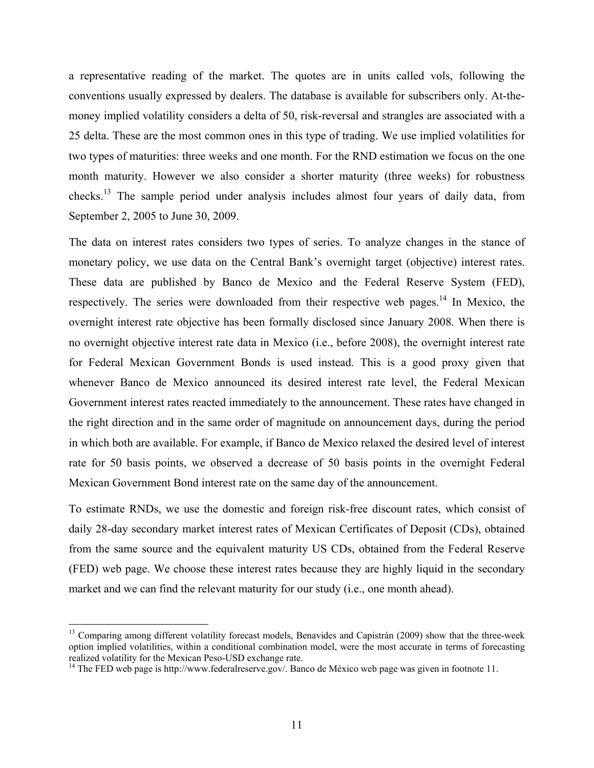a representative reading of the market. The quotes are in units called vols, following the conventions usually expressed by dealers. The database is available for subscribers only. At-themoney implied volatility considers a delta of 50, risk-reversal and strangles are associated with a 25 delta. These are the most common ones in this type of trading. We use implied volatilities for two types of maturities: three weeks and one month. For the RND estimation we focus on the one month maturity. However we also consider a shorter maturity (three weeks) for robustness checks.13 The sample period under analysis includes almost four years of daily data, from September 2, 2005 to June 30, 2009.

The data on interest rates considers two types of series. To analyze changes in the stance of monetary policy, we use data on the Central Bank's overnight target (objective) interest rates. These data are published by Banco de Mexico and the Federal Reserve System (FED), respectively. The series were downloaded from their respective web pages.<sup>14</sup> In Mexico, the overnight interest rate objective has been formally disclosed since January 2008. When there is no overnight objective interest rate data in Mexico (i.e., before 2008), the overnight interest rate for Federal Mexican Government Bonds is used instead. This is a good proxy given that whenever Banco de Mexico announced its desired interest rate level, the Federal Mexican Government interest rates reacted immediately to the announcement. These rates have changed in the right direction and in the same order of magnitude on announcement days, during the period in which both are available. For example, if Banco de Mexico relaxed the desired level of interest rate for 50 basis points, we observed a decrease of 50 basis points in the overnight Federal Mexican Government Bond interest rate on the same day of the announcement.

To estimate RNDs, we use the domestic and foreign risk-free discount rates, which consist of daily 28-day secondary market interest rates of Mexican Certificates of Deposit (CDs), obtained from the same source and the equivalent maturity US CDs, obtained from the Federal Reserve (FED) web page. We choose these interest rates because they are highly liquid in the secondary market and we can find the relevant maturity for our study (i.e., one month ahead).

<sup>&</sup>lt;sup>13</sup> Comparing among different volatility forecast models, Benavides and Capistrán (2009) show that the three-week option implied volatilities, within a conditional combination model, were the most accurate in terms of forecasting realized volatility for the Mexican Peso-USD exchange rate.

<sup>&</sup>lt;sup>14</sup> The FED web page is http://www.federalreserve.gov/. Banco de México web page was given in footnote 11.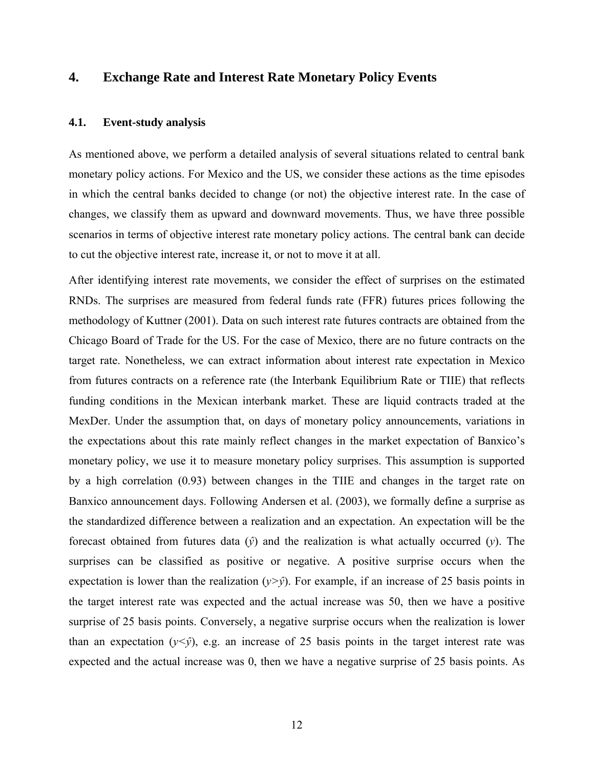## **4. Exchange Rate and Interest Rate Monetary Policy Events**

### **4.1. Event-study analysis**

As mentioned above, we perform a detailed analysis of several situations related to central bank monetary policy actions. For Mexico and the US, we consider these actions as the time episodes in which the central banks decided to change (or not) the objective interest rate. In the case of changes, we classify them as upward and downward movements. Thus, we have three possible scenarios in terms of objective interest rate monetary policy actions. The central bank can decide to cut the objective interest rate, increase it, or not to move it at all.

After identifying interest rate movements, we consider the effect of surprises on the estimated RNDs. The surprises are measured from federal funds rate (FFR) futures prices following the methodology of Kuttner (2001). Data on such interest rate futures contracts are obtained from the Chicago Board of Trade for the US. For the case of Mexico, there are no future contracts on the target rate. Nonetheless, we can extract information about interest rate expectation in Mexico from futures contracts on a reference rate (the Interbank Equilibrium Rate or TIIE) that reflects funding conditions in the Mexican interbank market. These are liquid contracts traded at the MexDer. Under the assumption that, on days of monetary policy announcements, variations in the expectations about this rate mainly reflect changes in the market expectation of Banxico's monetary policy, we use it to measure monetary policy surprises. This assumption is supported by a high correlation (0.93) between changes in the TIIE and changes in the target rate on Banxico announcement days. Following Andersen et al. (2003), we formally define a surprise as the standardized difference between a realization and an expectation. An expectation will be the forecast obtained from futures data (*ŷ*) and the realization is what actually occurred (*y*). The surprises can be classified as positive or negative. A positive surprise occurs when the expectation is lower than the realization  $(y>\hat{y})$ . For example, if an increase of 25 basis points in the target interest rate was expected and the actual increase was 50, then we have a positive surprise of 25 basis points. Conversely, a negative surprise occurs when the realization is lower than an expectation  $(y<\hat{y})$ , e.g. an increase of 25 basis points in the target interest rate was expected and the actual increase was 0, then we have a negative surprise of 25 basis points. As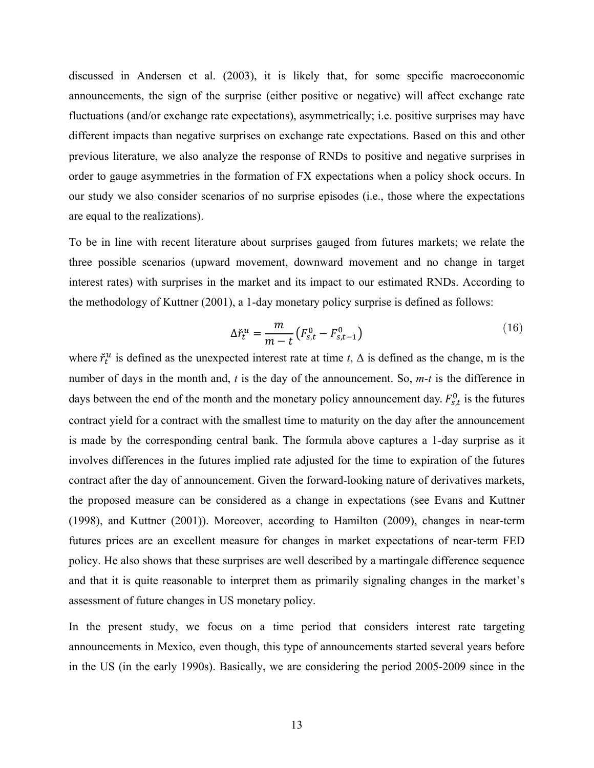discussed in Andersen et al. (2003), it is likely that, for some specific macroeconomic announcements, the sign of the surprise (either positive or negative) will affect exchange rate fluctuations (and/or exchange rate expectations), asymmetrically; i.e. positive surprises may have different impacts than negative surprises on exchange rate expectations. Based on this and other previous literature, we also analyze the response of RNDs to positive and negative surprises in order to gauge asymmetries in the formation of FX expectations when a policy shock occurs. In our study we also consider scenarios of no surprise episodes (i.e., those where the expectations are equal to the realizations).

To be in line with recent literature about surprises gauged from futures markets; we relate the three possible scenarios (upward movement, downward movement and no change in target interest rates) with surprises in the market and its impact to our estimated RNDs. According to the methodology of Kuttner (2001), a 1-day monetary policy surprise is defined as follows:

$$
\Delta \check{r}_t^u = \frac{m}{m-t} \left( F_{s,t}^0 - F_{s,t-1}^0 \right) \tag{16}
$$

where  $\check{\tau}_t^u$  is defined as the unexpected interest rate at time  $t$ ,  $\Delta$  is defined as the change, m is the number of days in the month and, *t* is the day of the announcement. So, *m-t* is the difference in days between the end of the month and the monetary policy announcement day.  $F_{s,t}^0$  is the futures contract yield for a contract with the smallest time to maturity on the day after the announcement is made by the corresponding central bank. The formula above captures a 1-day surprise as it involves differences in the futures implied rate adjusted for the time to expiration of the futures contract after the day of announcement. Given the forward-looking nature of derivatives markets, the proposed measure can be considered as a change in expectations (see Evans and Kuttner (1998), and Kuttner (2001)). Moreover, according to Hamilton (2009), changes in near-term futures prices are an excellent measure for changes in market expectations of near-term FED policy. He also shows that these surprises are well described by a martingale difference sequence and that it is quite reasonable to interpret them as primarily signaling changes in the market's assessment of future changes in US monetary policy.

In the present study, we focus on a time period that considers interest rate targeting announcements in Mexico, even though, this type of announcements started several years before in the US (in the early 1990s). Basically, we are considering the period 2005-2009 since in the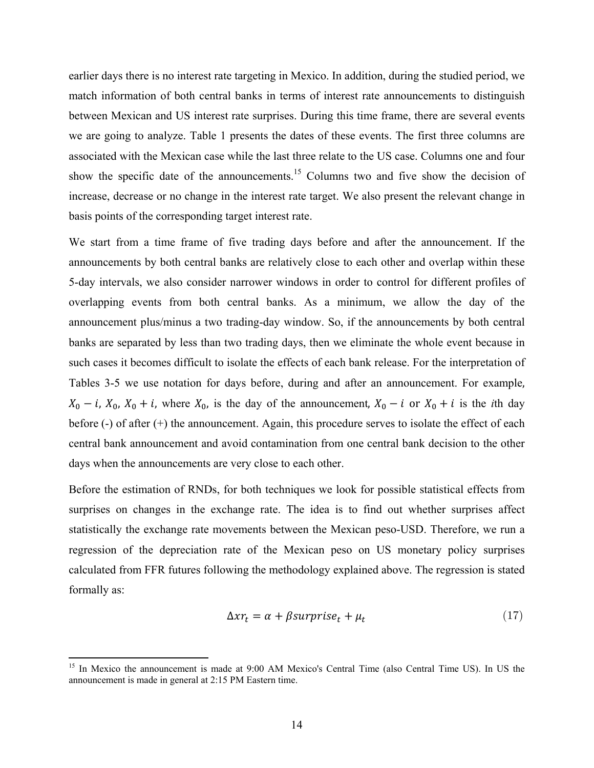earlier days there is no interest rate targeting in Mexico. In addition, during the studied period, we match information of both central banks in terms of interest rate announcements to distinguish between Mexican and US interest rate surprises. During this time frame, there are several events we are going to analyze. Table 1 presents the dates of these events. The first three columns are associated with the Mexican case while the last three relate to the US case. Columns one and four show the specific date of the announcements.<sup>15</sup> Columns two and five show the decision of increase, decrease or no change in the interest rate target. We also present the relevant change in basis points of the corresponding target interest rate.

We start from a time frame of five trading days before and after the announcement. If the announcements by both central banks are relatively close to each other and overlap within these 5-day intervals, we also consider narrower windows in order to control for different profiles of overlapping events from both central banks. As a minimum, we allow the day of the announcement plus/minus a two trading-day window. So, if the announcements by both central banks are separated by less than two trading days, then we eliminate the whole event because in such cases it becomes difficult to isolate the effects of each bank release. For the interpretation of Tables 3-5 we use notation for days before, during and after an announcement. For example,  $X_0 - i$ ,  $X_0$ ,  $X_0 + i$ , where  $X_0$ , is the day of the announcement,  $X_0 - i$  or  $X_0 + i$  is the *i*th day before (-) of after (+) the announcement. Again, this procedure serves to isolate the effect of each central bank announcement and avoid contamination from one central bank decision to the other days when the announcements are very close to each other.

Before the estimation of RNDs, for both techniques we look for possible statistical effects from surprises on changes in the exchange rate. The idea is to find out whether surprises affect statistically the exchange rate movements between the Mexican peso-USD. Therefore, we run a regression of the depreciation rate of the Mexican peso on US monetary policy surprises calculated from FFR futures following the methodology explained above. The regression is stated formally as:

$$
\Delta xr_t = \alpha + \beta surprise_t + \mu_t \tag{17}
$$

<sup>&</sup>lt;sup>15</sup> In Mexico the announcement is made at 9:00 AM Mexico's Central Time (also Central Time US). In US the announcement is made in general at 2:15 PM Eastern time.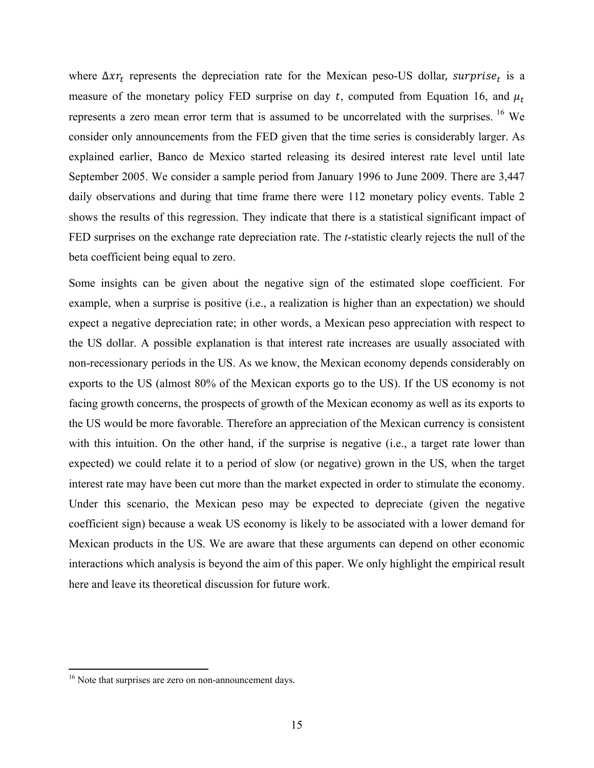where  $\Delta x r_t$  represents the depreciation rate for the Mexican peso-US dollar, surprise<sub>t</sub> is a measure of the monetary policy FED surprise on day t, computed from Equation 16, and  $\mu_t$ represents a zero mean error term that is assumed to be uncorrelated with the surprises. <sup>16</sup> We consider only announcements from the FED given that the time series is considerably larger. As explained earlier, Banco de Mexico started releasing its desired interest rate level until late September 2005. We consider a sample period from January 1996 to June 2009. There are 3,447 daily observations and during that time frame there were 112 monetary policy events. Table 2 shows the results of this regression. They indicate that there is a statistical significant impact of FED surprises on the exchange rate depreciation rate. The *t*-statistic clearly rejects the null of the beta coefficient being equal to zero.

Some insights can be given about the negative sign of the estimated slope coefficient. For example, when a surprise is positive (i.e., a realization is higher than an expectation) we should expect a negative depreciation rate; in other words, a Mexican peso appreciation with respect to the US dollar. A possible explanation is that interest rate increases are usually associated with non-recessionary periods in the US. As we know, the Mexican economy depends considerably on exports to the US (almost 80% of the Mexican exports go to the US). If the US economy is not facing growth concerns, the prospects of growth of the Mexican economy as well as its exports to the US would be more favorable. Therefore an appreciation of the Mexican currency is consistent with this intuition. On the other hand, if the surprise is negative (i.e., a target rate lower than expected) we could relate it to a period of slow (or negative) grown in the US, when the target interest rate may have been cut more than the market expected in order to stimulate the economy. Under this scenario, the Mexican peso may be expected to depreciate (given the negative coefficient sign) because a weak US economy is likely to be associated with a lower demand for Mexican products in the US. We are aware that these arguments can depend on other economic interactions which analysis is beyond the aim of this paper. We only highlight the empirical result here and leave its theoretical discussion for future work.

 $16$  Note that surprises are zero on non-announcement days.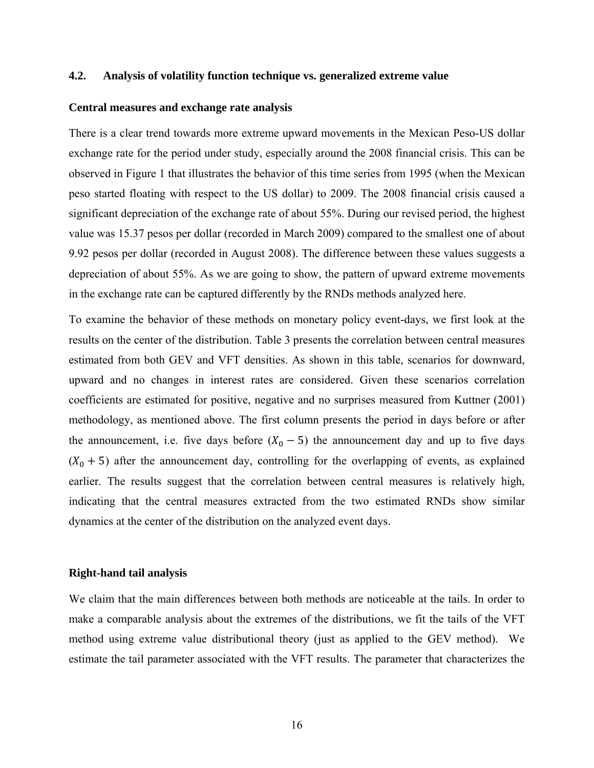## **4.2. Analysis of volatility function technique vs. generalized extreme value**

#### **Central measures and exchange rate analysis**

There is a clear trend towards more extreme upward movements in the Mexican Peso-US dollar exchange rate for the period under study, especially around the 2008 financial crisis. This can be observed in Figure 1 that illustrates the behavior of this time series from 1995 (when the Mexican peso started floating with respect to the US dollar) to 2009. The 2008 financial crisis caused a significant depreciation of the exchange rate of about 55%. During our revised period, the highest value was 15.37 pesos per dollar (recorded in March 2009) compared to the smallest one of about 9.92 pesos per dollar (recorded in August 2008). The difference between these values suggests a depreciation of about 55%. As we are going to show, the pattern of upward extreme movements in the exchange rate can be captured differently by the RNDs methods analyzed here.

To examine the behavior of these methods on monetary policy event-days, we first look at the results on the center of the distribution. Table 3 presents the correlation between central measures estimated from both GEV and VFT densities. As shown in this table, scenarios for downward, upward and no changes in interest rates are considered. Given these scenarios correlation coefficients are estimated for positive, negative and no surprises measured from Kuttner (2001) methodology, as mentioned above. The first column presents the period in days before or after the announcement, i.e. five days before  $(X_0 - 5)$  the announcement day and up to five days  $(X_0 + 5)$  after the announcement day, controlling for the overlapping of events, as explained earlier. The results suggest that the correlation between central measures is relatively high, indicating that the central measures extracted from the two estimated RNDs show similar dynamics at the center of the distribution on the analyzed event days.

### **Right-hand tail analysis**

We claim that the main differences between both methods are noticeable at the tails. In order to make a comparable analysis about the extremes of the distributions, we fit the tails of the VFT method using extreme value distributional theory (just as applied to the GEV method). We estimate the tail parameter associated with the VFT results. The parameter that characterizes the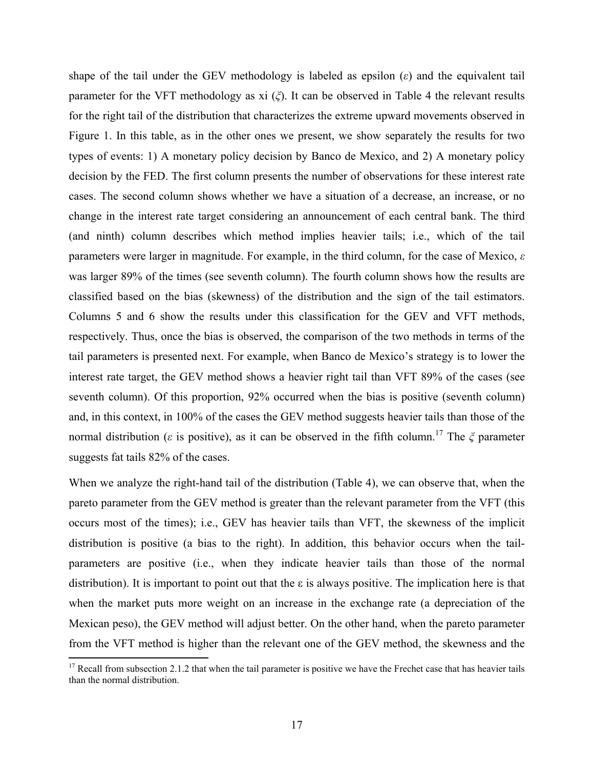shape of the tail under the GEV methodology is labeled as epsilon  $(\varepsilon)$  and the equivalent tail parameter for the VFT methodology as xi (*ξ*). It can be observed in Table 4 the relevant results for the right tail of the distribution that characterizes the extreme upward movements observed in Figure 1. In this table, as in the other ones we present, we show separately the results for two types of events: 1) A monetary policy decision by Banco de Mexico, and 2) A monetary policy decision by the FED. The first column presents the number of observations for these interest rate cases. The second column shows whether we have a situation of a decrease, an increase, or no change in the interest rate target considering an announcement of each central bank. The third (and ninth) column describes which method implies heavier tails; i.e., which of the tail parameters were larger in magnitude. For example, in the third column, for the case of Mexico, *ε* was larger 89% of the times (see seventh column). The fourth column shows how the results are classified based on the bias (skewness) of the distribution and the sign of the tail estimators. Columns 5 and 6 show the results under this classification for the GEV and VFT methods, respectively. Thus, once the bias is observed, the comparison of the two methods in terms of the tail parameters is presented next. For example, when Banco de Mexico's strategy is to lower the interest rate target, the GEV method shows a heavier right tail than VFT 89% of the cases (see seventh column). Of this proportion, 92% occurred when the bias is positive (seventh column) and, in this context, in 100% of the cases the GEV method suggests heavier tails than those of the normal distribution (*ε* is positive), as it can be observed in the fifth column.17 The *ξ* parameter suggests fat tails 82% of the cases.

When we analyze the right-hand tail of the distribution (Table 4), we can observe that, when the pareto parameter from the GEV method is greater than the relevant parameter from the VFT (this occurs most of the times); i.e., GEV has heavier tails than VFT, the skewness of the implicit distribution is positive (a bias to the right). In addition, this behavior occurs when the tailparameters are positive (i.e., when they indicate heavier tails than those of the normal distribution). It is important to point out that the  $\varepsilon$  is always positive. The implication here is that when the market puts more weight on an increase in the exchange rate (a depreciation of the Mexican peso), the GEV method will adjust better. On the other hand, when the pareto parameter from the VFT method is higher than the relevant one of the GEV method, the skewness and the

 $17$  Recall from subsection 2.1.2 that when the tail parameter is positive we have the Frechet case that has heavier tails than the normal distribution.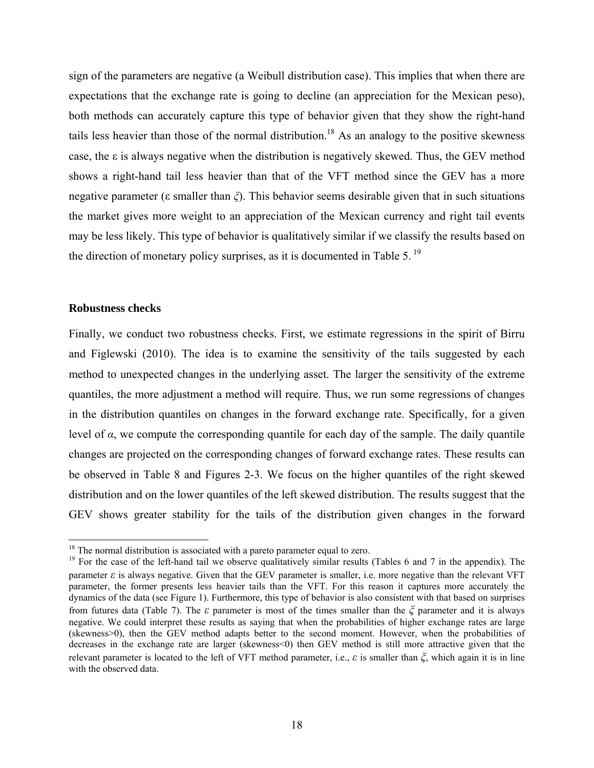sign of the parameters are negative (a Weibull distribution case). This implies that when there are expectations that the exchange rate is going to decline (an appreciation for the Mexican peso), both methods can accurately capture this type of behavior given that they show the right-hand tails less heavier than those of the normal distribution.<sup>18</sup> As an analogy to the positive skewness case, the ε is always negative when the distribution is negatively skewed. Thus, the GEV method shows a right-hand tail less heavier than that of the VFT method since the GEV has a more negative parameter (ε smaller than *ξ*). This behavior seems desirable given that in such situations the market gives more weight to an appreciation of the Mexican currency and right tail events may be less likely. This type of behavior is qualitatively similar if we classify the results based on the direction of monetary policy surprises, as it is documented in Table 5.<sup>19</sup>

### **Robustness checks**

Finally, we conduct two robustness checks. First, we estimate regressions in the spirit of Birru and Figlewski (2010). The idea is to examine the sensitivity of the tails suggested by each method to unexpected changes in the underlying asset. The larger the sensitivity of the extreme quantiles, the more adjustment a method will require. Thus, we run some regressions of changes in the distribution quantiles on changes in the forward exchange rate. Specifically, for a given level of  $α$ , we compute the corresponding quantile for each day of the sample. The daily quantile changes are projected on the corresponding changes of forward exchange rates. These results can be observed in Table 8 and Figures 2-3. We focus on the higher quantiles of the right skewed distribution and on the lower quantiles of the left skewed distribution. The results suggest that the GEV shows greater stability for the tails of the distribution given changes in the forward

 $18$  The normal distribution is associated with a pareto parameter equal to zero.

<sup>&</sup>lt;sup>19</sup> For the case of the left-hand tail we observe qualitatively similar results (Tables 6 and 7 in the appendix). The parameter  $\varepsilon$  is always negative. Given that the GEV parameter is smaller, i.e. more negative than the relevant VFT parameter, the former presents less heavier tails than the VFT. For this reason it captures more accurately the dynamics of the data (see Figure 1). Furthermore, this type of behavior is also consistent with that based on surprises from futures data (Table 7). The *ε* parameter is most of the times smaller than the *ξ* parameter and it is always negative. We could interpret these results as saying that when the probabilities of higher exchange rates are large (skewness>0), then the GEV method adapts better to the second moment. However, when the probabilities of decreases in the exchange rate are larger (skewness<0) then GEV method is still more attractive given that the relevant parameter is located to the left of VFT method parameter, i.e., *ε* is smaller than *ξ*, which again it is in line with the observed data.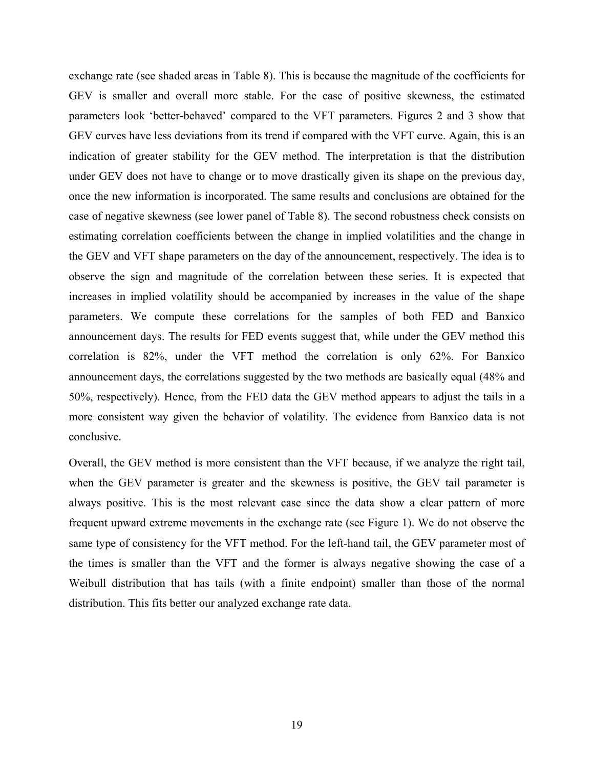exchange rate (see shaded areas in Table 8). This is because the magnitude of the coefficients for GEV is smaller and overall more stable. For the case of positive skewness, the estimated parameters look 'better-behaved' compared to the VFT parameters. Figures 2 and 3 show that GEV curves have less deviations from its trend if compared with the VFT curve. Again, this is an indication of greater stability for the GEV method. The interpretation is that the distribution under GEV does not have to change or to move drastically given its shape on the previous day, once the new information is incorporated. The same results and conclusions are obtained for the case of negative skewness (see lower panel of Table 8). The second robustness check consists on estimating correlation coefficients between the change in implied volatilities and the change in the GEV and VFT shape parameters on the day of the announcement, respectively. The idea is to observe the sign and magnitude of the correlation between these series. It is expected that increases in implied volatility should be accompanied by increases in the value of the shape parameters. We compute these correlations for the samples of both FED and Banxico announcement days. The results for FED events suggest that, while under the GEV method this correlation is 82%, under the VFT method the correlation is only 62%. For Banxico announcement days, the correlations suggested by the two methods are basically equal (48% and 50%, respectively). Hence, from the FED data the GEV method appears to adjust the tails in a more consistent way given the behavior of volatility. The evidence from Banxico data is not conclusive.

Overall, the GEV method is more consistent than the VFT because, if we analyze the right tail, when the GEV parameter is greater and the skewness is positive, the GEV tail parameter is always positive. This is the most relevant case since the data show a clear pattern of more frequent upward extreme movements in the exchange rate (see Figure 1). We do not observe the same type of consistency for the VFT method. For the left-hand tail, the GEV parameter most of the times is smaller than the VFT and the former is always negative showing the case of a Weibull distribution that has tails (with a finite endpoint) smaller than those of the normal distribution. This fits better our analyzed exchange rate data.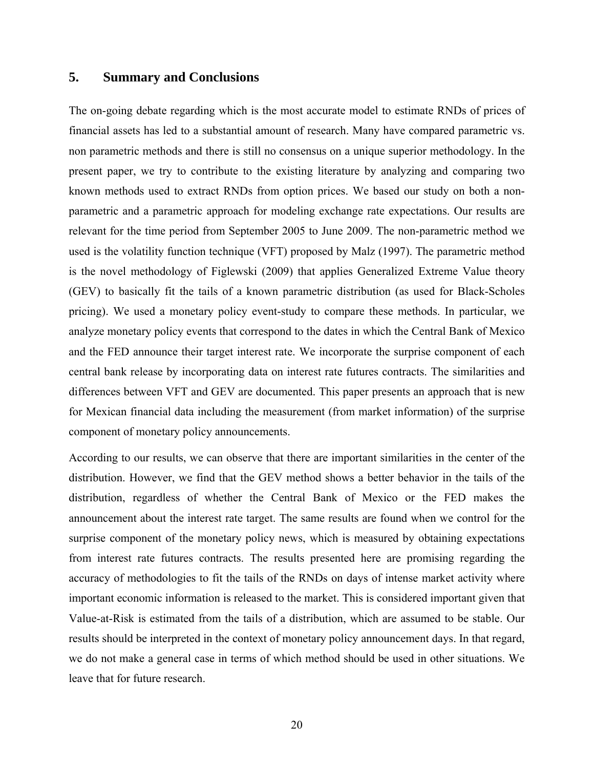## **5. Summary and Conclusions**

The on-going debate regarding which is the most accurate model to estimate RNDs of prices of financial assets has led to a substantial amount of research. Many have compared parametric vs. non parametric methods and there is still no consensus on a unique superior methodology. In the present paper, we try to contribute to the existing literature by analyzing and comparing two known methods used to extract RNDs from option prices. We based our study on both a nonparametric and a parametric approach for modeling exchange rate expectations. Our results are relevant for the time period from September 2005 to June 2009. The non-parametric method we used is the volatility function technique (VFT) proposed by Malz (1997). The parametric method is the novel methodology of Figlewski (2009) that applies Generalized Extreme Value theory (GEV) to basically fit the tails of a known parametric distribution (as used for Black-Scholes pricing). We used a monetary policy event-study to compare these methods. In particular, we analyze monetary policy events that correspond to the dates in which the Central Bank of Mexico and the FED announce their target interest rate. We incorporate the surprise component of each central bank release by incorporating data on interest rate futures contracts. The similarities and differences between VFT and GEV are documented. This paper presents an approach that is new for Mexican financial data including the measurement (from market information) of the surprise component of monetary policy announcements.

According to our results, we can observe that there are important similarities in the center of the distribution. However, we find that the GEV method shows a better behavior in the tails of the distribution, regardless of whether the Central Bank of Mexico or the FED makes the announcement about the interest rate target. The same results are found when we control for the surprise component of the monetary policy news, which is measured by obtaining expectations from interest rate futures contracts. The results presented here are promising regarding the accuracy of methodologies to fit the tails of the RNDs on days of intense market activity where important economic information is released to the market. This is considered important given that Value-at-Risk is estimated from the tails of a distribution, which are assumed to be stable. Our results should be interpreted in the context of monetary policy announcement days. In that regard, we do not make a general case in terms of which method should be used in other situations. We leave that for future research.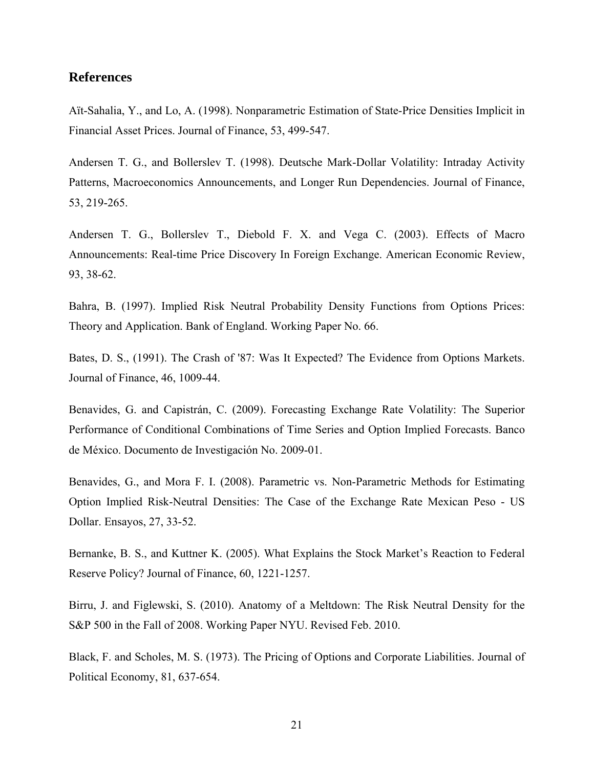## **References**

Aït-Sahalia, Y., and Lo, A. (1998). Nonparametric Estimation of State-Price Densities Implicit in Financial Asset Prices. Journal of Finance, 53, 499-547.

Andersen T. G., and Bollerslev T. (1998). Deutsche Mark-Dollar Volatility: Intraday Activity Patterns, Macroeconomics Announcements, and Longer Run Dependencies. Journal of Finance, 53, 219-265.

Andersen T. G., Bollerslev T., Diebold F. X. and Vega C. (2003). Effects of Macro Announcements: Real-time Price Discovery In Foreign Exchange. American Economic Review, 93, 38-62.

Bahra, B. (1997). Implied Risk Neutral Probability Density Functions from Options Prices: Theory and Application. Bank of England. Working Paper No. 66.

Bates, D. S., (1991). The Crash of '87: Was It Expected? The Evidence from Options Markets. Journal of Finance, 46, 1009-44.

Benavides, G. and Capistrán, C. (2009). Forecasting Exchange Rate Volatility: The Superior Performance of Conditional Combinations of Time Series and Option Implied Forecasts. Banco de México. Documento de Investigación No. 2009-01.

Benavides, G., and Mora F. I. (2008). Parametric vs. Non-Parametric Methods for Estimating Option Implied Risk-Neutral Densities: The Case of the Exchange Rate Mexican Peso - US Dollar. Ensayos, 27, 33-52.

Bernanke, B. S., and Kuttner K. (2005). What Explains the Stock Market's Reaction to Federal Reserve Policy? Journal of Finance, 60, 1221-1257.

Birru, J. and Figlewski, S. (2010). Anatomy of a Meltdown: The Risk Neutral Density for the S&P 500 in the Fall of 2008. Working Paper NYU. Revised Feb. 2010.

Black, F. and Scholes, M. S. (1973). The Pricing of Options and Corporate Liabilities. Journal of Political Economy, 81, 637-654.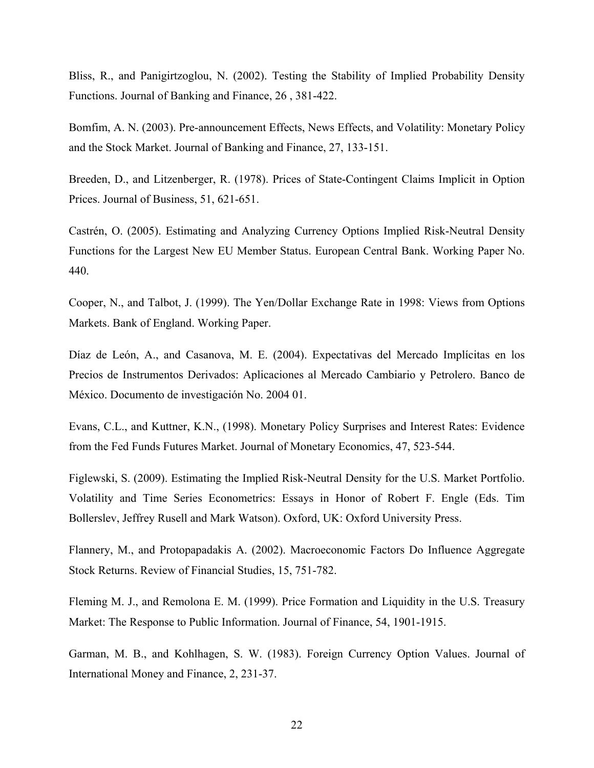Bliss, R., and Panigirtzoglou, N. (2002). Testing the Stability of Implied Probability Density Functions. Journal of Banking and Finance, 26 , 381-422.

Bomfim, A. N. (2003). Pre-announcement Effects, News Effects, and Volatility: Monetary Policy and the Stock Market. Journal of Banking and Finance, 27, 133-151.

Breeden, D., and Litzenberger, R. (1978). Prices of State-Contingent Claims Implicit in Option Prices. Journal of Business, 51, 621-651.

Castrén, O. (2005). Estimating and Analyzing Currency Options Implied Risk-Neutral Density Functions for the Largest New EU Member Status. European Central Bank. Working Paper No. 440.

Cooper, N., and Talbot, J. (1999). The Yen/Dollar Exchange Rate in 1998: Views from Options Markets. Bank of England. Working Paper.

Díaz de León, A., and Casanova, M. E. (2004). Expectativas del Mercado Implícitas en los Precios de Instrumentos Derivados: Aplicaciones al Mercado Cambiario y Petrolero. Banco de México. Documento de investigación No. 2004 01.

Evans, C.L., and Kuttner, K.N., (1998). Monetary Policy Surprises and Interest Rates: Evidence from the Fed Funds Futures Market. Journal of Monetary Economics, 47, 523-544.

Figlewski, S. (2009). Estimating the Implied Risk-Neutral Density for the U.S. Market Portfolio. Volatility and Time Series Econometrics: Essays in Honor of Robert F. Engle (Eds. Tim Bollerslev, Jeffrey Rusell and Mark Watson). Oxford, UK: Oxford University Press.

Flannery, M., and Protopapadakis A. (2002). Macroeconomic Factors Do Influence Aggregate Stock Returns. Review of Financial Studies, 15, 751-782.

Fleming M. J., and Remolona E. M. (1999). Price Formation and Liquidity in the U.S. Treasury Market: The Response to Public Information. Journal of Finance, 54, 1901-1915.

Garman, M. B., and Kohlhagen, S. W. (1983). Foreign Currency Option Values. Journal of International Money and Finance, 2, 231-37.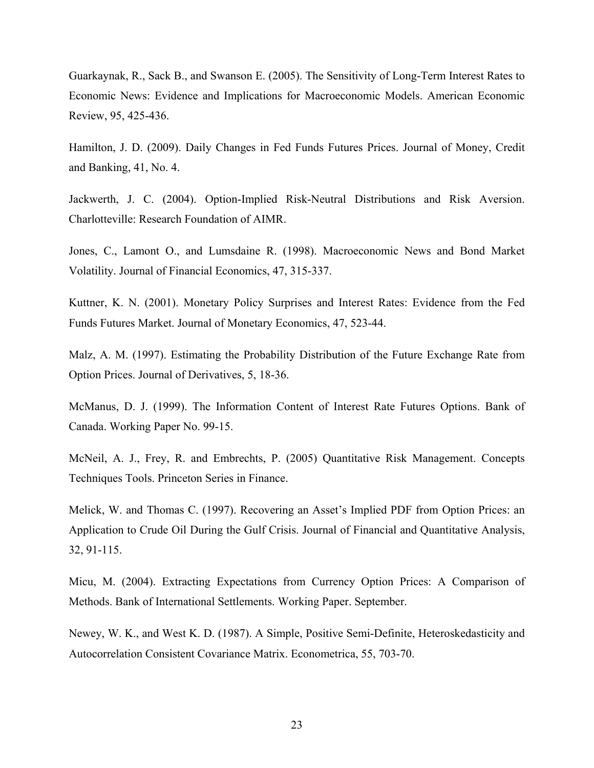Guarkaynak, R., Sack B., and Swanson E. (2005). The Sensitivity of Long-Term Interest Rates to Economic News: Evidence and Implications for Macroeconomic Models. American Economic Review, 95, 425-436.

Hamilton, J. D. (2009). Daily Changes in Fed Funds Futures Prices. Journal of Money, Credit and Banking, 41, No. 4.

Jackwerth, J. C. (2004). Option-Implied Risk-Neutral Distributions and Risk Aversion. Charlotteville: Research Foundation of AIMR.

Jones, C., Lamont O., and Lumsdaine R. (1998). Macroeconomic News and Bond Market Volatility. Journal of Financial Economics, 47, 315-337.

Kuttner, K. N. (2001). Monetary Policy Surprises and Interest Rates: Evidence from the Fed Funds Futures Market. Journal of Monetary Economics, 47, 523-44.

Malz, A. M. (1997). Estimating the Probability Distribution of the Future Exchange Rate from Option Prices. Journal of Derivatives, 5, 18-36.

McManus, D. J. (1999). The Information Content of Interest Rate Futures Options. Bank of Canada. Working Paper No. 99-15.

McNeil, A. J., Frey, R. and Embrechts, P. (2005) Quantitative Risk Management. Concepts Techniques Tools. Princeton Series in Finance.

Melick, W. and Thomas C. (1997). Recovering an Asset's Implied PDF from Option Prices: an Application to Crude Oil During the Gulf Crisis. Journal of Financial and Quantitative Analysis, 32, 91-115.

Micu, M. (2004). Extracting Expectations from Currency Option Prices: A Comparison of Methods. Bank of International Settlements. Working Paper. September.

Newey, W. K., and West K. D. (1987). A Simple, Positive Semi-Definite, Heteroskedasticity and Autocorrelation Consistent Covariance Matrix. Econometrica, 55, 703-70.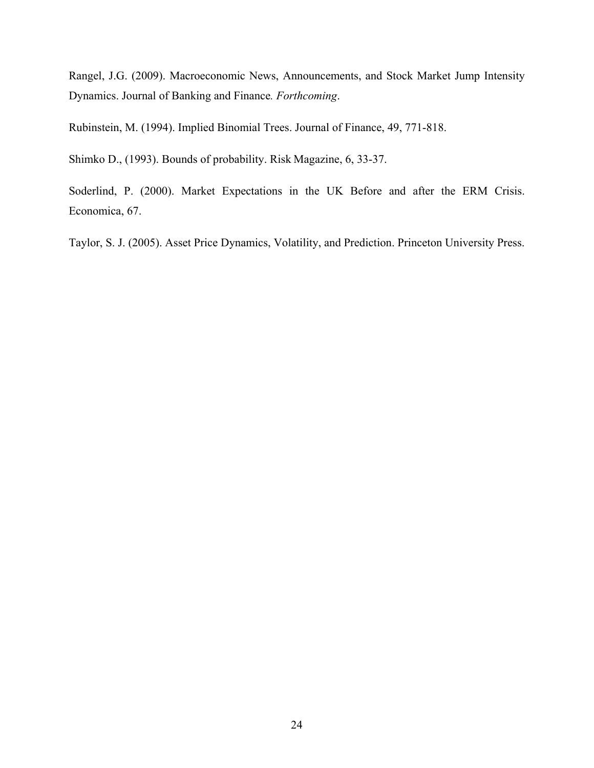Rangel, J.G. (2009). Macroeconomic News, Announcements, and Stock Market Jump Intensity Dynamics. Journal of Banking and Finance*. Forthcoming*.

Rubinstein, M. (1994). Implied Binomial Trees. Journal of Finance, 49, 771-818.

Shimko D., (1993). Bounds of probability. Risk Magazine, 6, 33-37.

Soderlind, P. (2000). Market Expectations in the UK Before and after the ERM Crisis. Economica, 67.

Taylor, S. J. (2005). Asset Price Dynamics, Volatility, and Prediction. Princeton University Press.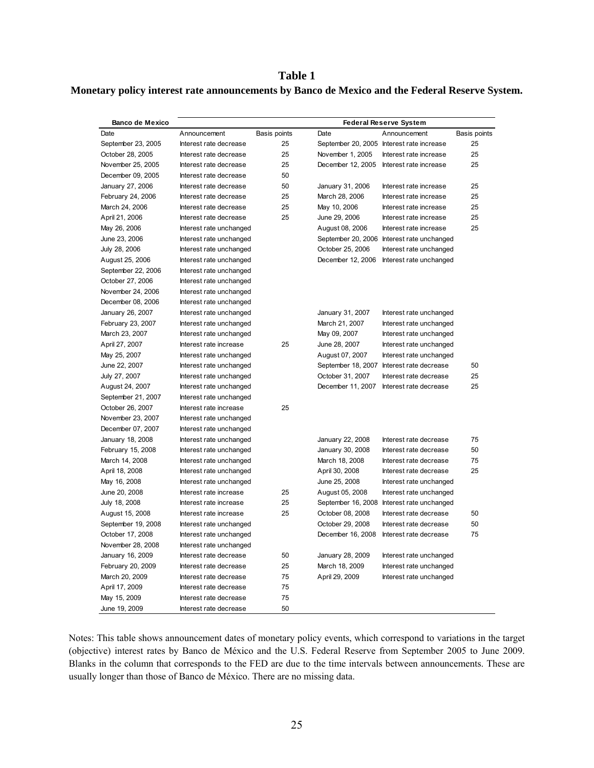### **Table 1**

### **Monetary policy interest rate announcements by Banco de Mexico and the Federal Reserve System.**

| <b>Banco de Mexico</b> |                         | <b>Federal Reserve System</b> |                   |                                            |              |
|------------------------|-------------------------|-------------------------------|-------------------|--------------------------------------------|--------------|
| Date                   | Announcement            | Basis points                  | Date              | Announcement                               | Basis points |
| September 23, 2005     | Interest rate decrease  | 25                            |                   | September 20, 2005 Interest rate increase  | 25           |
| October 28, 2005       | Interest rate decrease  | 25                            | November 1, 2005  | Interest rate increase                     | 25           |
| November 25, 2005      | Interest rate decrease  | 25                            | December 12, 2005 | Interest rate increase                     | 25           |
| December 09, 2005      | Interest rate decrease  | 50                            |                   |                                            |              |
| January 27, 2006       | Interest rate decrease  | 50                            | January 31, 2006  | Interest rate increase                     | 25           |
| February 24, 2006      | Interest rate decrease  | 25                            | March 28, 2006    | Interest rate increase                     | 25           |
| March 24, 2006         | Interest rate decrease  | 25                            | May 10, 2006      | Interest rate increase                     | 25           |
| April 21, 2006         | Interest rate decrease  | 25                            | June 29, 2006     | Interest rate increase                     | 25           |
| May 26, 2006           | Interest rate unchanged |                               | August 08, 2006   | Interest rate increase                     | 25           |
| June 23, 2006          | Interest rate unchanged |                               |                   | September 20, 2006 Interest rate unchanged |              |
| July 28, 2006          | Interest rate unchanged |                               | October 25, 2006  | Interest rate unchanged                    |              |
| August 25, 2006        | Interest rate unchanged |                               | December 12, 2006 | Interest rate unchanged                    |              |
| September 22, 2006     | Interest rate unchanged |                               |                   |                                            |              |
| October 27, 2006       | Interest rate unchanged |                               |                   |                                            |              |
| November 24, 2006      | Interest rate unchanged |                               |                   |                                            |              |
| December 08, 2006      | Interest rate unchanged |                               |                   |                                            |              |
| January 26, 2007       | Interest rate unchanged |                               | January 31, 2007  | Interest rate unchanged                    |              |
| February 23, 2007      | Interest rate unchanged |                               | March 21, 2007    | Interest rate unchanged                    |              |
| March 23, 2007         | Interest rate unchanged |                               | May 09, 2007      | Interest rate unchanged                    |              |
| April 27, 2007         | Interest rate increase  | 25                            | June 28, 2007     | Interest rate unchanged                    |              |
| May 25, 2007           | Interest rate unchanged |                               | August 07, 2007   | Interest rate unchanged                    |              |
| June 22, 2007          | Interest rate unchanged |                               |                   | September 18, 2007 Interest rate decrease  | 50           |
| July 27, 2007          | Interest rate unchanged |                               | October 31, 2007  | Interest rate decrease                     | 25           |
| August 24, 2007        | Interest rate unchanged |                               | December 11, 2007 | Interest rate decrease                     | 25           |
| September 21, 2007     | Interest rate unchanged |                               |                   |                                            |              |
| October 26, 2007       | Interest rate increase  | 25                            |                   |                                            |              |
| November 23, 2007      | Interest rate unchanged |                               |                   |                                            |              |
| December 07, 2007      | Interest rate unchanged |                               |                   |                                            |              |
| January 18, 2008       | Interest rate unchanged |                               | January 22, 2008  | Interest rate decrease                     | 75           |
| February 15, 2008      | Interest rate unchanged |                               | January 30, 2008  | Interest rate decrease                     | 50           |
| March 14, 2008         | Interest rate unchanged |                               | March 18, 2008    | Interest rate decrease                     | 75           |
| April 18, 2008         | Interest rate unchanged |                               | April 30, 2008    | Interest rate decrease                     | 25           |
| May 16, 2008           | Interest rate unchanged |                               | June 25, 2008     | Interest rate unchanged                    |              |
| June 20, 2008          | Interest rate increase  | 25                            | August 05, 2008   | Interest rate unchanged                    |              |
| July 18, 2008          | Interest rate increase  | 25                            |                   | September 16, 2008 Interest rate unchanged |              |
| August 15, 2008        | Interest rate increase  | 25                            | October 08, 2008  | Interest rate decrease                     | 50           |
| September 19, 2008     | Interest rate unchanged |                               | October 29, 2008  | Interest rate decrease                     | 50           |
| October 17, 2008       | Interest rate unchanged |                               | December 16, 2008 | Interest rate decrease                     | 75           |
| November 28, 2008      | Interest rate unchanged |                               |                   |                                            |              |
| January 16, 2009       | Interest rate decrease  | 50                            | January 28, 2009  | Interest rate unchanged                    |              |
| February 20, 2009      | Interest rate decrease  | 25                            | March 18, 2009    | Interest rate unchanged                    |              |
| March 20, 2009         | Interest rate decrease  | 75                            | April 29, 2009    | Interest rate unchanged                    |              |
| April 17, 2009         | Interest rate decrease  | 75                            |                   |                                            |              |
| May 15, 2009           | Interest rate decrease  | 75                            |                   |                                            |              |
| June 19, 2009          | Interest rate decrease  | 50                            |                   |                                            |              |

Notes: This table shows announcement dates of monetary policy events, which correspond to variations in the target (objective) interest rates by Banco de México and the U.S. Federal Reserve from September 2005 to June 2009. Blanks in the column that corresponds to the FED are due to the time intervals between announcements. These are usually longer than those of Banco de México. There are no missing data.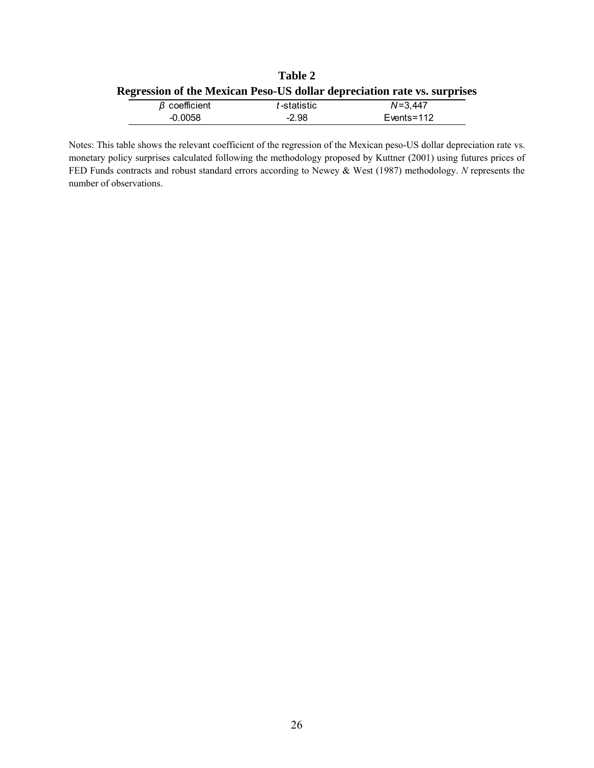|                                                                          | <b>Table 2</b> |                 |
|--------------------------------------------------------------------------|----------------|-----------------|
| Regression of the Mexican Peso-US dollar depreciation rate vs. surprises |                |                 |
| $\beta$ coefficient                                                      | t-statistic    | $N = 3.447$     |
| -0.0058                                                                  | $-2.98$        | $E$ vents = 112 |

Notes: This table shows the relevant coefficient of the regression of the Mexican peso-US dollar depreciation rate vs. monetary policy surprises calculated following the methodology proposed by Kuttner (2001) using futures prices of FED Funds contracts and robust standard errors according to Newey & West (1987) methodology. *N* represents the number of observations.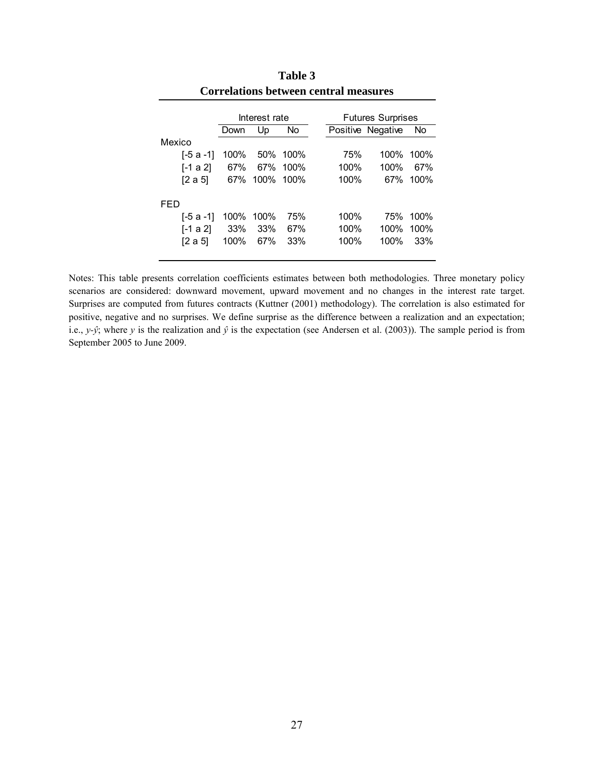|        |           |      | Interest rate |          |      | <b>Futures Surprises</b> |      |
|--------|-----------|------|---------------|----------|------|--------------------------|------|
|        |           | Down | Up            | No       |      | Positive Negative        | No   |
| Mexico |           |      |               |          |      |                          |      |
|        | [-5 a -1] | 100% |               | 50% 100% | 75%  | 100%                     | 100% |
|        | [-1 a 2]  | 67%  |               | 67% 100% | 100% | 100%                     | 67%  |
|        | [2 a 5]   | 67%  | 100% 100%     |          | 100% | 67%                      | 100% |
| FFD    |           |      |               |          |      |                          |      |
|        | [-5 a -1] |      | 100% 100%     | 75%      | 100% | 75%                      | 100% |
|        | [-1 a 2]  | 33%  | 33%           | 67%      | 100% | 100%                     | 100% |
|        | [2 a 5]   | 100% | 67%           | 33%      | 100% | 100%                     | 33%  |
|        |           |      |               |          |      |                          |      |

**Table 3 Correlations between central measures** 

Notes: This table presents correlation coefficients estimates between both methodologies. Three monetary policy scenarios are considered: downward movement, upward movement and no changes in the interest rate target. Surprises are computed from futures contracts (Kuttner (2001) methodology). The correlation is also estimated for positive, negative and no surprises. We define surprise as the difference between a realization and an expectation; i.e., *y*-*j*; where *y* is the realization and  $\hat{y}$  is the expectation (see Andersen et al. (2003)). The sample period is from September 2005 to June 2009.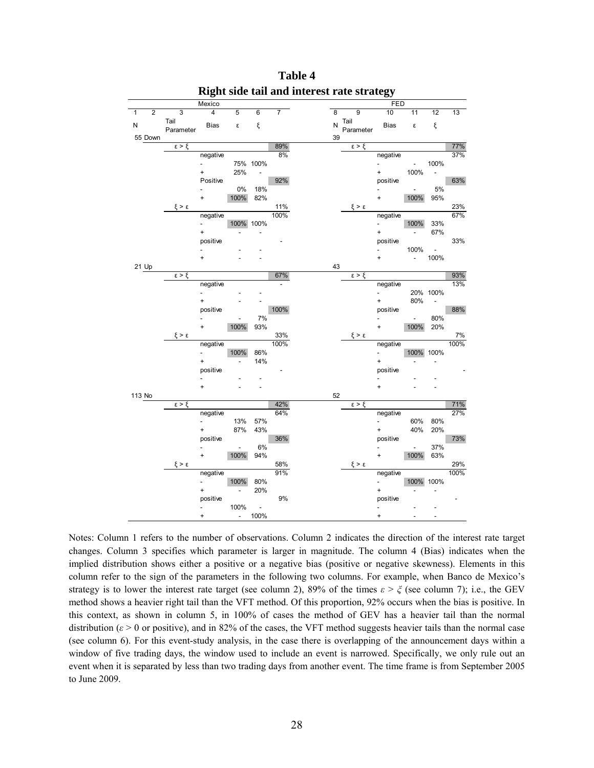|        |                |                     | Mexico                   |                          |                          |                |    |                     | <b>FED</b>               |                          |                          |       |
|--------|----------------|---------------------|--------------------------|--------------------------|--------------------------|----------------|----|---------------------|--------------------------|--------------------------|--------------------------|-------|
| 1      | $\overline{2}$ | 3                   | 4                        | 5                        | $6\overline{6}$          | $\overline{7}$ | 8  | 9                   | 10                       | 11                       | 12                       | 13    |
| N      |                | Tail                | <b>Bias</b>              | ε                        | ξ                        |                | N  | Tail                | Bias                     | $\pmb{\varepsilon}$      | ξ                        |       |
|        | 55 Down        | Parameter           |                          |                          |                          |                | 39 | Parameter           |                          |                          |                          |       |
|        |                | $\epsilon > \xi$    |                          |                          |                          | 89%            |    | $\epsilon > \xi$    |                          |                          |                          | 77%   |
|        |                |                     | negative                 |                          |                          | 8%             |    |                     | negative                 |                          |                          | 37%   |
|        |                |                     | $\overline{\phantom{a}}$ |                          | 75% 100%                 |                |    |                     | $\blacksquare$           | $\sim 10$                | 100%                     |       |
|        |                |                     | $+$ $-$                  | 25%                      | $\overline{\phantom{a}}$ |                |    |                     | $+$ $-$                  | 100%                     | $\overline{\phantom{a}}$ |       |
|        |                |                     | Positive                 |                          |                          | 92%            |    |                     | positive                 |                          |                          | 63%   |
|        |                |                     |                          | $0\%$                    | 18%                      |                |    |                     |                          | $\overline{\phantom{a}}$ | 5%                       |       |
|        |                |                     | $\ddot{}$                | 100%                     | 82%                      |                |    |                     | $+$                      | 100%                     | 95%                      |       |
|        |                | $\xi > \epsilon$    |                          |                          |                          | 11%            |    | $\xi > \epsilon$    |                          |                          |                          | 23%   |
|        |                |                     | negative                 |                          |                          | 100%           |    |                     | negative                 |                          |                          | 67%   |
|        |                |                     | $\omega_{\rm{max}}$      | 100% 100%                |                          |                |    |                     | $\mathcal{L}_{\rm{max}}$ | 100%                     | 33%                      |       |
|        |                |                     | $\ddot{}$                |                          |                          |                |    |                     | $\ddot{}$                | $\overline{\phantom{a}}$ | 67%                      |       |
|        |                |                     | positive                 |                          |                          |                |    |                     | positive                 |                          |                          | 33%   |
|        |                |                     |                          |                          |                          |                |    |                     | $\overline{\phantom{0}}$ | 100%                     | $\overline{\phantom{a}}$ |       |
|        | 21 Up          |                     | <sup>+</sup>             |                          |                          |                | 43 |                     | $\ddot{}$                | $\overline{\phantom{a}}$ | 100%                     |       |
|        |                | $\epsilon > \xi$    |                          |                          |                          | 67%            |    | $\epsilon > \xi$    |                          |                          |                          | 93%   |
|        |                |                     | negative                 |                          |                          | $\frac{1}{2}$  |    |                     | negative                 |                          |                          | 13%   |
|        |                |                     | $\overline{a}$           |                          |                          |                |    |                     | $\blacksquare$           |                          | 20% 100%                 |       |
|        |                |                     | Ŧ.                       |                          |                          |                |    |                     | $\ddot{}$                | 80%                      | $\overline{\phantom{a}}$ |       |
|        |                |                     | positive                 |                          |                          | 100%           |    |                     | positive                 |                          |                          | 88%   |
|        |                |                     |                          | $\overline{\phantom{m}}$ | 7%                       |                |    |                     | $\overline{a}$           | $\sim$                   | 80%                      |       |
|        |                |                     | $\ddot{}$                | 100%                     | 93%                      |                |    |                     | $+$                      | 100%                     | 20%                      |       |
|        |                | $\xi > \varepsilon$ |                          |                          |                          | 33%            |    | $\xi > \epsilon$    |                          |                          |                          | $7\%$ |
|        |                |                     | negative                 |                          |                          | 100%           |    |                     | negative                 |                          |                          | 100%  |
|        |                |                     |                          | 100%                     | 86%                      |                |    |                     | $\blacksquare$           |                          | 100% 100%                |       |
|        |                |                     | $\ddot{}$                |                          | 14%                      |                |    |                     | $\ddot{}$                |                          | $\overline{a}$           |       |
|        |                |                     | positive                 |                          |                          |                |    |                     | positive                 |                          |                          |       |
|        |                |                     |                          |                          |                          |                |    |                     |                          |                          |                          |       |
|        |                |                     | $\ddot{}$                |                          |                          |                |    |                     | $\ddot{}$                |                          |                          |       |
| 113 No |                | $\xi > \xi$         |                          |                          |                          | 42%            | 52 |                     |                          |                          |                          | 71%   |
|        |                |                     | negative                 |                          |                          | 64%            |    | $\epsilon > \xi$    | negative                 |                          |                          | 27%   |
|        |                |                     | $\overline{a}$           | 13%                      | 57%                      |                |    |                     | ÷.                       | 60%                      | 80%                      |       |
|        |                |                     | $\ddot{}$                | 87%                      | 43%                      |                |    |                     | $+$                      | 40%                      | 20%                      |       |
|        |                |                     | positive                 |                          |                          | 36%            |    |                     | positive                 |                          |                          | 73%   |
|        |                |                     |                          | $\blacksquare$           | 6%                       |                |    |                     | $\overline{\phantom{0}}$ | $\overline{\phantom{a}}$ | 37%                      |       |
|        |                |                     | $\ddot{}$                | 100%                     | 94%                      |                |    |                     | $\ddot{}$                | 100%                     | 63%                      |       |
|        |                | $\xi > \varepsilon$ |                          |                          |                          | 58%            |    | $\xi > \varepsilon$ |                          |                          |                          | 29%   |
|        |                |                     | negative                 |                          |                          | 91%            |    |                     | negative                 |                          |                          | 100%  |
|        |                |                     | $\overline{\phantom{a}}$ | 100%                     | 80%                      |                |    |                     | $\sim$                   | 100% 100%                |                          |       |
|        |                |                     | $\ddot{}$                | $\overline{\phantom{a}}$ | 20%                      |                |    |                     | $\ddot{}$                |                          |                          |       |
|        |                |                     | positive                 |                          |                          | 9%             |    |                     | positive                 |                          |                          |       |
|        |                |                     | $\overline{\phantom{a}}$ | 100%                     | $\sim$                   |                |    |                     | $\frac{1}{2}$            |                          |                          |       |
|        |                |                     | $\ddot{}$                | $\sim$                   | 100%                     |                |    |                     | $\ddot{}$                |                          |                          |       |

**Table 4 Right side tail and interest rate strategy** 

Notes: Column 1 refers to the number of observations. Column 2 indicates the direction of the interest rate target changes. Column 3 specifies which parameter is larger in magnitude. The column 4 (Bias) indicates when the implied distribution shows either a positive or a negative bias (positive or negative skewness). Elements in this column refer to the sign of the parameters in the following two columns. For example, when Banco de Mexico's strategy is to lower the interest rate target (see column 2), 89% of the times  $\varepsilon > \xi$  (see column 7); i.e., the GEV method shows a heavier right tail than the VFT method. Of this proportion, 92% occurs when the bias is positive. In this context, as shown in column 5, in 100% of cases the method of GEV has a heavier tail than the normal distribution ( $\varepsilon$  > 0 or positive), and in 82% of the cases, the VFT method suggests heavier tails than the normal case (see column 6). For this event-study analysis, in the case there is overlapping of the announcement days within a window of five trading days, the window used to include an event is narrowed. Specifically, we only rule out an event when it is separated by less than two trading days from another event. The time frame is from September 2005 to June 2009.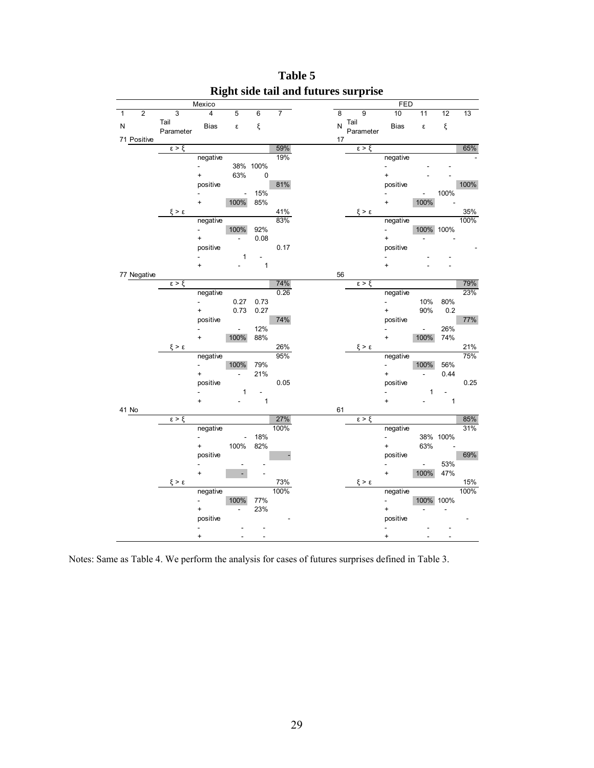|                |                |                     | Mexico                      |                          |                |                |    |                  | <b>FED</b>                |                          |              |      |
|----------------|----------------|---------------------|-----------------------------|--------------------------|----------------|----------------|----|------------------|---------------------------|--------------------------|--------------|------|
| $\overline{1}$ | $\overline{2}$ | $\overline{3}$      | $\overline{4}$              | 5                        | $\overline{6}$ | $\overline{7}$ | 8  | 9                | 10                        | 11                       | 12           | 13   |
| ${\sf N}$      |                | Tail                | <b>Bias</b>                 | ε                        | ξ              |                | N  | Tail             | <b>Bias</b>               | ε                        | ξ            |      |
|                |                | Parameter           |                             |                          |                |                |    | Parameter        |                           |                          |              |      |
|                | 71 Positive    | $\epsilon > \xi$    |                             |                          |                | 59%            | 17 | $\epsilon > \xi$ |                           |                          |              | 65%  |
|                |                |                     | negative                    |                          |                | 19%            |    |                  | negative                  |                          |              |      |
|                |                |                     | $\overline{a}$              |                          | 38% 100%       |                |    |                  | $\frac{1}{2}$             |                          |              |      |
|                |                |                     | $+$                         | 63%                      | $\mathbf 0$    |                |    |                  | $\ddot{}$                 |                          |              |      |
|                |                |                     | positive                    |                          |                | 81%            |    |                  | positive                  |                          |              | 100% |
|                |                |                     |                             | $\blacksquare$           | 15%            |                |    |                  | $\blacksquare$            | $\overline{\phantom{0}}$ | 100%         |      |
|                |                |                     | $\ddot{}$                   | 100%                     | 85%            |                |    |                  | $\ddot{}$                 | 100%                     |              |      |
|                |                | $\xi > \epsilon$    |                             |                          |                | 41%            |    | $\xi > \epsilon$ |                           |                          |              | 35%  |
|                |                |                     | negative                    |                          |                | 83%            |    |                  | negative                  |                          |              | 100% |
|                |                |                     | ÷.                          | 100%                     | 92%            |                |    |                  | ÷.                        |                          | 100% 100%    |      |
|                |                |                     | $\ddot{}$                   | ÷.                       | 0.08           |                |    |                  | $\ddot{}$                 |                          |              |      |
|                |                |                     | positive                    |                          |                | 0.17           |    |                  | positive                  |                          |              |      |
|                |                |                     | $\overline{a}$              | 1                        |                |                |    |                  | $\overline{\phantom{a}}$  |                          |              |      |
|                |                |                     | $\ddot{}$                   |                          | $\mathbf{1}$   |                | 56 |                  | $\ddot{}$                 |                          |              |      |
|                | 77 Negative    | $\epsilon > \xi$    |                             |                          |                | 74%            |    | $\epsilon > \xi$ |                           |                          |              | 79%  |
|                |                |                     | negative                    |                          |                | 0.26           |    |                  | negative                  |                          |              | 23%  |
|                |                |                     | $\overline{a}$              | 0.27                     | 0.73           |                |    |                  | $\mathbb{Z}^{\mathbb{Z}}$ | 10%                      | 80%          |      |
|                |                |                     | $\ddot{}$                   | 0.73                     | 0.27           |                |    |                  | $\ddot{}$                 | 90%                      | 0.2          |      |
|                |                |                     | positive                    |                          |                | 74%            |    |                  | positive                  |                          |              | 77%  |
|                |                |                     | $\overline{a}$              | $\Box$                   | 12%            |                |    |                  | $\overline{a}$            | $\blacksquare$           | 26%          |      |
|                |                |                     | $+$                         | 100%                     | 88%            |                |    |                  | $+$                       | 100%                     | 74%          |      |
|                |                | $\xi > \epsilon$    |                             |                          |                | 26%            |    | $\xi > \epsilon$ |                           |                          |              | 21%  |
|                |                |                     | negative                    |                          |                | 95%            |    |                  | negative                  |                          |              | 75%  |
|                |                |                     | $\overline{a}$              | 100%                     | 79%            |                |    |                  | $\frac{1}{2}$             | 100%                     | 56%          |      |
|                |                |                     | $\ddot{}$                   | $\overline{\phantom{a}}$ | 21%            |                |    |                  | $\ddot{}$                 | ٠                        | 0.44         |      |
|                |                |                     | positive                    |                          |                | 0.05           |    |                  | positive                  |                          |              | 0.25 |
|                |                |                     | $\ddot{}$                   | 1                        | $\blacksquare$ |                |    |                  | $\ddot{}$                 | 1                        |              |      |
|                | 41 No          |                     |                             |                          | $\mathbf{1}$   |                | 61 |                  |                           |                          | $\mathbf{1}$ |      |
|                |                | $\epsilon > \xi$    |                             |                          |                | 27%            |    | $\epsilon > \xi$ |                           |                          |              | 85%  |
|                |                |                     | negative                    |                          |                | 100%           |    |                  | negative                  |                          |              | 31%  |
|                |                |                     | L,                          | $\overline{\phantom{a}}$ | 18%            |                |    |                  | $\blacksquare$            |                          | 38% 100%     |      |
|                |                |                     | $\ddot{}$                   | 100%                     | 82%            |                |    |                  | $\ddot{}$                 | 63%                      |              |      |
|                |                |                     | positive                    |                          |                |                |    |                  | positive                  |                          |              | 69%  |
|                |                |                     |                             |                          |                |                |    |                  | $\overline{\phantom{0}}$  | $\blacksquare$           | 53%          |      |
|                |                |                     | $\ddot{}$                   | L.                       |                |                |    |                  | $\ddot{}$                 | 100%                     | 47%          |      |
|                |                | $\xi > \varepsilon$ |                             |                          |                | 73%            |    | $\xi > \epsilon$ |                           |                          |              | 15%  |
|                |                |                     | negative                    |                          |                | 100%           |    |                  | negative                  |                          |              | 100% |
|                |                |                     | $\overline{a}$              | 100%                     | 77%            |                |    |                  | a i                       |                          | 100% 100%    |      |
|                |                |                     | $\ddot{}$                   |                          | 23%            |                |    |                  | $\ddot{}$                 |                          |              |      |
|                |                |                     | positive                    |                          |                |                |    |                  | positive                  |                          |              |      |
|                |                |                     | $\overline{a}$<br>$\ddot{}$ |                          |                |                |    |                  | ÷,<br>$\ddot{}$           |                          |              |      |
|                |                |                     |                             |                          |                |                |    |                  |                           |                          |              |      |

**Table 5 Right side tail and futures surprise** 

Notes: Same as Table 4. We perform the analysis for cases of futures surprises defined in Table 3.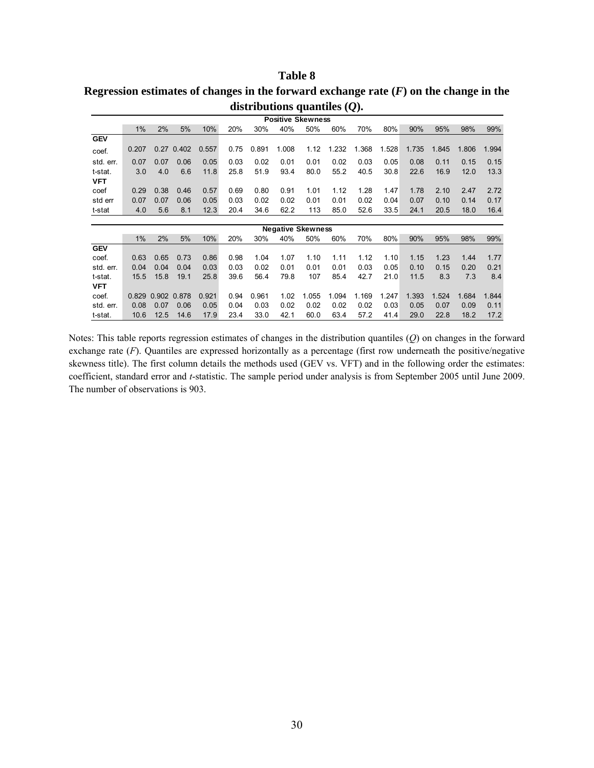### **Table 8**

| Regression estimates of changes in the forward exchange rate $(F)$ on the change in the |  |
|-----------------------------------------------------------------------------------------|--|
| distributions quantiles $(Q)$ .                                                         |  |

|                       | <b>Positive Skewness</b> |             |       |       |      |       |                          |       |       |       |       |       |       |       |       |
|-----------------------|--------------------------|-------------|-------|-------|------|-------|--------------------------|-------|-------|-------|-------|-------|-------|-------|-------|
|                       | 1%                       | 2%          | 5%    | 10%   | 20%  | 30%   | 40%                      | 50%   | 60%   | 70%   | 80%   | 90%   | 95%   | 98%   | 99%   |
| <b>GEV</b>            |                          |             |       |       |      |       |                          |       |       |       |       |       |       |       |       |
| coef.                 | 0.207                    | 0.27        | 0.402 | 0.557 | 0.75 | 0.891 | 1.008                    | 1.12  | 1.232 | 1.368 | 1.528 | 1.735 | 1.845 | 1.806 | 1.994 |
| std. err.             | 0.07                     | 0.07        | 0.06  | 0.05  | 0.03 | 0.02  | 0.01                     | 0.01  | 0.02  | 0.03  | 0.05  | 0.08  | 0.11  | 0.15  | 0.15  |
| t-stat.<br><b>VFT</b> | 3.0                      | 4.0         | 6.6   | 11.8  | 25.8 | 51.9  | 93.4                     | 80.0  | 55.2  | 40.5  | 30.8  | 22.6  | 16.9  | 12.0  | 13.3  |
| coef                  | 0.29                     | 0.38        | 0.46  | 0.57  | 0.69 | 0.80  | 0.91                     | 1.01  | 1.12  | 1.28  | 1.47  | 1.78  | 2.10  | 2.47  | 2.72  |
| std err               | 0.07                     | 0.07        | 0.06  | 0.05  | 0.03 | 0.02  | 0.02                     | 0.01  | 0.01  | 0.02  | 0.04  | 0.07  | 0.10  | 0.14  | 0.17  |
| t-stat                | 4.0                      | 5.6         | 8.1   | 12.3  | 20.4 | 34.6  | 62.2                     | 113   | 85.0  | 52.6  | 33.5  | 24.1  | 20.5  | 18.0  | 16.4  |
|                       |                          |             |       |       |      |       |                          |       |       |       |       |       |       |       |       |
|                       |                          |             |       |       |      |       | <b>Negative Skewness</b> |       |       |       |       |       |       |       |       |
|                       | 1%                       | 2%          | 5%    | 10%   | 20%  | 30%   | 40%                      | 50%   | 60%   | 70%   | 80%   | 90%   | 95%   | 98%   | 99%   |
| <b>GEV</b>            |                          |             |       |       |      |       |                          |       |       |       |       |       |       |       |       |
| coef.                 | 0.63                     | 0.65        | 0.73  | 0.86  | 0.98 | 1.04  | 1.07                     | 1.10  | 1.11  | 1.12  | 1.10  | 1.15  | 1.23  | 1.44  | 1.77  |
| std. err.             | 0.04                     | 0.04        | 0.04  | 0.03  | 0.03 | 0.02  | 0.01                     | 0.01  | 0.01  | 0.03  | 0.05  | 0.10  | 0.15  | 0.20  | 0.21  |
| t-stat.               | 15.5                     | 15.8        | 19.1  | 25.8  | 39.6 | 56.4  | 79.8                     | 107   | 85.4  | 42.7  | 21.0  | 11.5  | 8.3   | 7.3   | 8.4   |
| <b>VFT</b>            |                          |             |       |       |      |       |                          |       |       |       |       |       |       |       |       |
| coef.                 | 0.829                    | 0.902 0.878 |       | 0.921 | 0.94 | 0.961 | 1.02                     | 1.055 | 1.094 | 1.169 | 1.247 | 1.393 | 1.524 | 1.684 | 1.844 |
| std. err.             | 0.08                     | 0.07        | 0.06  | 0.05  | 0.04 | 0.03  | 0.02                     | 0.02  | 0.02  | 0.02  | 0.03  | 0.05  | 0.07  | 0.09  | 0.11  |
| t-stat.               | 10.6                     | 12.5        | 14.6  | 17.9  | 23.4 | 33.0  | 42.1                     | 60.0  | 63.4  | 57.2  | 41.4  | 29.0  | 22.8  | 18.2  | 17.2  |

Notes: This table reports regression estimates of changes in the distribution quantiles (*Q*) on changes in the forward exchange rate (*F*). Quantiles are expressed horizontally as a percentage (first row underneath the positive/negative skewness title). The first column details the methods used (GEV vs. VFT) and in the following order the estimates: coefficient, standard error and *t*-statistic. The sample period under analysis is from September 2005 until June 2009. The number of observations is 903.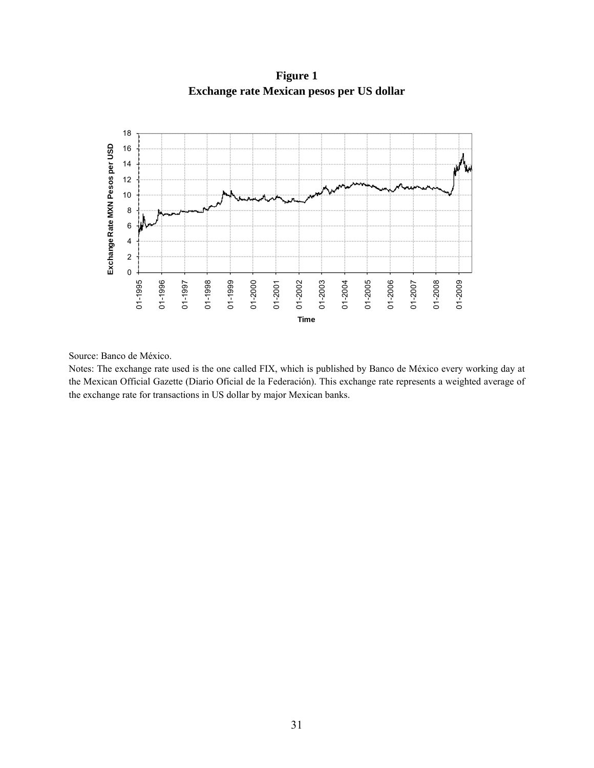

**Figure 1 Exchange rate Mexican pesos per US dollar** 

Source: Banco de México.

Notes: The exchange rate used is the one called FIX, which is published by Banco de México every working day at the Mexican Official Gazette (Diario Oficial de la Federación). This exchange rate represents a weighted average of the exchange rate for transactions in US dollar by major Mexican banks.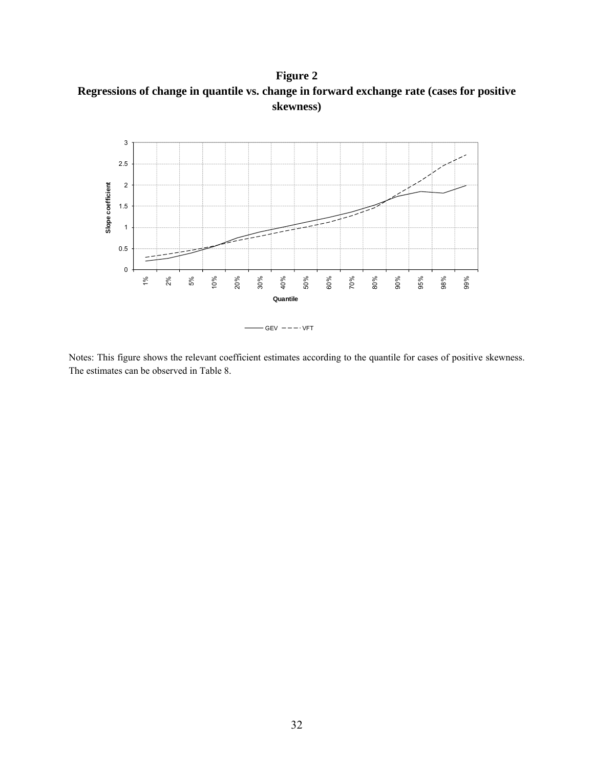**Figure 2 Regressions of change in quantile vs. change in forward exchange rate (cases for positive skewness)** 



Notes: This figure shows the relevant coefficient estimates according to the quantile for cases of positive skewness. The estimates can be observed in Table 8.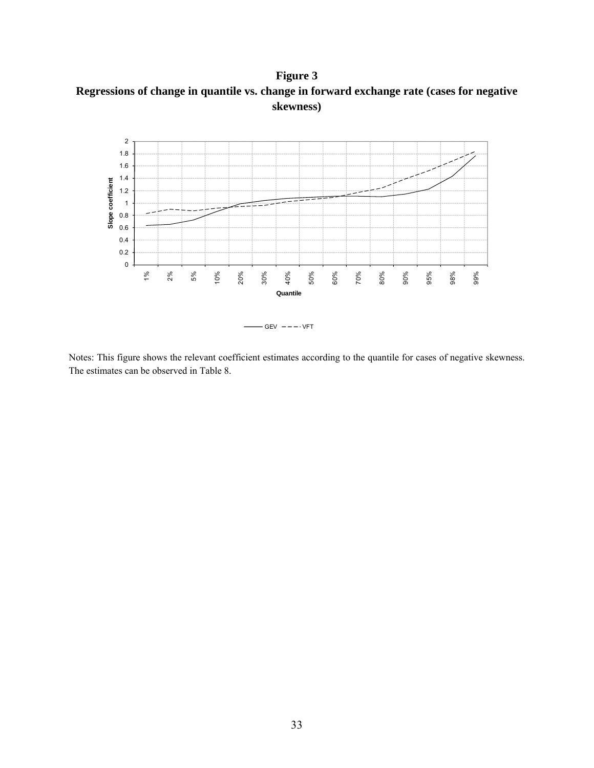**Figure 3 Regressions of change in quantile vs. change in forward exchange rate (cases for negative skewness)** 



Notes: This figure shows the relevant coefficient estimates according to the quantile for cases of negative skewness. The estimates can be observed in Table 8.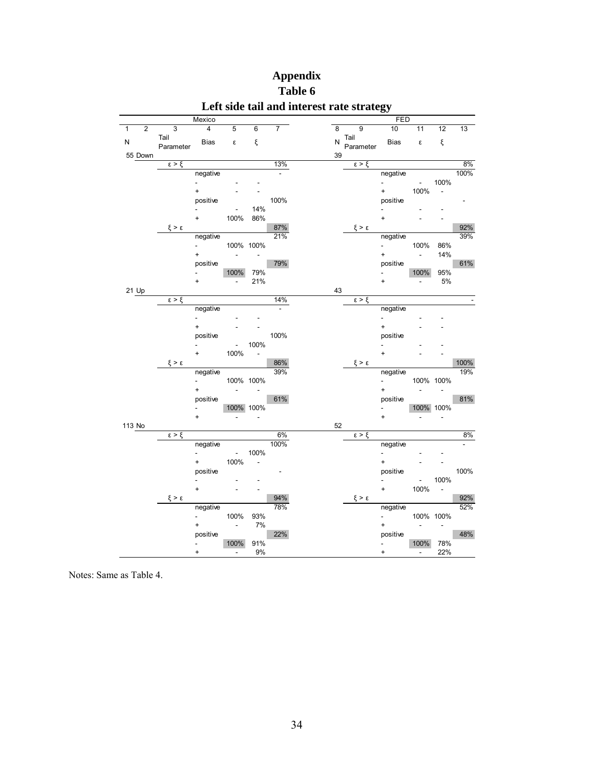|        |                |                     | Mexico                   |                         |                          |                |    |                     | FED                         |                             |                          |      |
|--------|----------------|---------------------|--------------------------|-------------------------|--------------------------|----------------|----|---------------------|-----------------------------|-----------------------------|--------------------------|------|
| 1      | $\overline{2}$ | $\overline{3}$      | $\overline{4}$           | 5                       | 6                        | 7              | 8  | 9                   | 10                          | 11                          | 12                       | 13   |
| N      |                | Tail                | <b>Bias</b>              | $\boldsymbol{\epsilon}$ | ξ                        |                |    | $N$ Tail            | Bias                        | ε                           | ξ                        |      |
|        | 55 Down        | Parameter           |                          |                         |                          |                | 39 | Parameter           |                             |                             |                          |      |
|        |                | $\epsilon > \xi$    |                          |                         |                          | 13%            |    | $\xi > \xi$         |                             |                             |                          | 8%   |
|        |                |                     | negative                 |                         |                          |                |    |                     | negative                    |                             |                          | 100% |
|        |                |                     | ÷,                       |                         |                          |                |    |                     | $\mathcal{L}_{\mathcal{A}}$ | $\sim 100$                  | 100%                     |      |
|        |                |                     | $\ddot{}$                |                         |                          |                |    |                     | $+$ $-$                     | 100%                        | $\overline{\phantom{a}}$ |      |
|        |                |                     | positive                 |                         |                          | 100%           |    |                     | positive                    |                             |                          |      |
|        |                |                     |                          | ÷,                      | 14%                      |                |    |                     |                             |                             |                          |      |
|        |                |                     | $\ddot{}$                | 100%                    | 86%                      |                |    |                     | $\ddot{}$                   |                             |                          |      |
|        |                | $\xi > \epsilon$    |                          |                         |                          | 87%            |    | $\xi > \epsilon$    |                             |                             |                          | 92%  |
|        |                |                     | negative                 |                         |                          | 21%            |    |                     | negative                    |                             |                          | 39%  |
|        |                |                     | ÷.                       |                         | 100% 100%                |                |    |                     | $\omega_{\rm{max}}$         | 100%                        | 86%                      |      |
|        |                |                     | $\ddot{}$                | $\Box$                  | $\sim$                   |                |    |                     | $+$                         | $\blacksquare$              | 14%                      |      |
|        |                |                     | positive                 |                         |                          | 79%            |    |                     | positive                    |                             |                          | 61%  |
|        |                |                     | $\overline{\phantom{0}}$ | 100%                    | 79%                      |                |    |                     | $\sim$                      | 100%                        | 95%                      |      |
|        |                |                     | $\ddot{}$                | ä,                      | 21%                      |                |    |                     | $\ddot{}$                   | ÷,                          | 5%                       |      |
|        | 21 Up          |                     |                          |                         |                          |                | 43 |                     |                             |                             |                          |      |
|        |                | $\epsilon > \xi$    |                          |                         |                          | 14%            |    | $\epsilon > \xi$    |                             |                             |                          |      |
|        |                |                     | negative                 |                         |                          | $\overline{a}$ |    |                     | negative                    |                             |                          |      |
|        |                |                     | ÷,                       |                         |                          |                |    |                     | $\blacksquare$              |                             |                          |      |
|        |                |                     | $\ddot{}$                |                         |                          |                |    |                     | $\ddot{}$                   |                             |                          |      |
|        |                |                     | positive                 |                         |                          | 100%           |    |                     | positive                    |                             |                          |      |
|        |                |                     | ÷,                       | $\sim 10^{-1}$          | 100%                     |                |    |                     | $\overline{\phantom{0}}$    |                             |                          |      |
|        |                |                     | $\ddot{}$                | 100%                    | $\Box$                   |                |    |                     | $\ddot{}$                   |                             |                          |      |
|        |                | $\xi > \varepsilon$ |                          |                         |                          | 86%            |    | $\xi > \varepsilon$ |                             |                             |                          | 100% |
|        |                |                     | negative                 |                         |                          | 39%            |    |                     | negative                    |                             |                          | 19%  |
|        |                |                     | ÷.                       |                         | 100% 100%                |                |    |                     | ÷.                          | 100% 100%                   |                          |      |
|        |                |                     | $\ddot{}$                | $\sim$                  | $\overline{\phantom{a}}$ |                |    |                     | $+$                         | $\mathcal{L}_{\mathcal{A}}$ | $\blacksquare$           |      |
|        |                |                     | positive                 |                         |                          | 61%            |    |                     | positive                    |                             |                          | 81%  |
|        |                |                     | $\overline{\phantom{a}}$ |                         | 100% 100%                |                |    |                     | $\mathcal{L}_{\mathcal{A}}$ | 100% 100%                   |                          |      |
|        |                |                     | $\ddot{}$                | ÷,                      | $\overline{a}$           |                |    |                     | $\ddot{}$                   |                             | ä,                       |      |
| 113 No |                |                     |                          |                         |                          |                | 52 |                     |                             |                             |                          |      |
|        |                | $\epsilon > \xi$    |                          |                         |                          | 6%             |    | $\xi > \xi$         |                             |                             |                          | 8%   |
|        |                |                     | negative                 |                         |                          | 100%           |    |                     | negative                    |                             |                          |      |
|        |                |                     | $\overline{\phantom{0}}$ | $\sim 10^{-1}$          | 100%                     |                |    |                     | $\overline{\phantom{0}}$    |                             |                          |      |
|        |                |                     | $+$                      | 100%                    | Ĭ,                       |                |    |                     | $^{+}$                      |                             |                          |      |
|        |                |                     | positive                 |                         |                          |                |    |                     | positive                    |                             |                          | 100% |
|        |                |                     |                          |                         |                          |                |    |                     |                             | $\omega_{\rm{eff}}$         | 100%                     |      |
|        |                |                     | $\ddot{}$                |                         |                          |                |    |                     | $+$                         | 100%                        | $\overline{\phantom{a}}$ |      |
|        |                | $\xi > \varepsilon$ |                          |                         |                          | 94%            |    | $\xi > \epsilon$    |                             |                             |                          | 92%  |
|        |                |                     | negative                 |                         |                          | 78%            |    |                     | negative                    |                             |                          | 52%  |
|        |                |                     | ÷.                       | 100%                    | 93%                      |                |    |                     | $\omega_{\rm{max}}$         | 100% 100%                   |                          |      |
|        |                |                     | $\ddot{}$                | $\sim$                  | 7%                       |                |    |                     | $\ddot{}$                   | $\sim 100$                  | $\sim$                   |      |
|        |                |                     | positive                 |                         |                          | 22%            |    |                     | positive                    |                             |                          | 48%  |
|        |                |                     | $\blacksquare$           | 100%                    | 91%                      |                |    |                     | ÷,                          | 100%                        | 78%                      |      |
|        |                |                     | $\ddot{}$                | $\omega$                | 9%                       |                |    |                     | $\ddot{}$                   | $\sim$                      | 22%                      |      |

# **Appendix Table 6 Left side tail and interest rate strategy**

Notes: Same as Table 4.